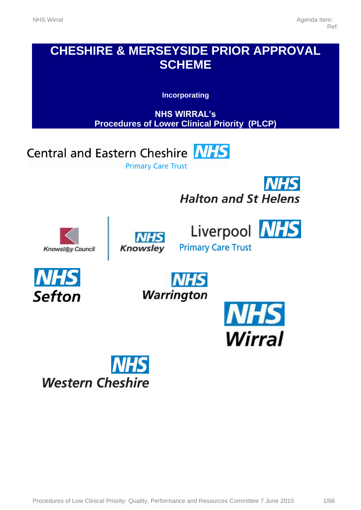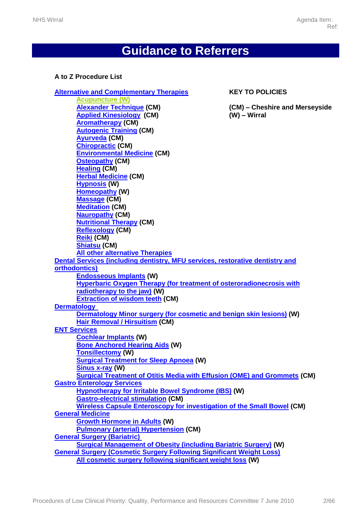# **Guidance to Referrers**

## <span id="page-1-0"></span>**A to Z Procedure List**

| <b>Alternative and Complementary Therapies</b>                                                          | <b>KEY TO POLICIES</b>         |
|---------------------------------------------------------------------------------------------------------|--------------------------------|
| <b>Acupuncture (W)</b>                                                                                  |                                |
| <b>Alexander Technique (CM)</b>                                                                         | (CM) - Cheshire and Merseyside |
| <b>Applied Kinesiology (CM)</b>                                                                         | $(W) - Wirral$                 |
| <b>Aromatherapy (CM)</b>                                                                                |                                |
| <b>Autogenic Training (CM)</b>                                                                          |                                |
| Ayurveda (CM)                                                                                           |                                |
| <b>Chiropractic (CM)</b>                                                                                |                                |
| <b>Environmental Medicine (CM)</b>                                                                      |                                |
| <b>Osteopathy (CM)</b>                                                                                  |                                |
| <b>Healing (CM)</b>                                                                                     |                                |
| <b>Herbal Medicine (CM)</b>                                                                             |                                |
| Hypnosis (W)                                                                                            |                                |
| <b>Homeopathy (W)</b>                                                                                   |                                |
| Massage (CM)                                                                                            |                                |
| <b>Meditation (CM)</b>                                                                                  |                                |
| <b>Nauropathy (CM)</b>                                                                                  |                                |
| <b>Nutritional Therapy (CM)</b>                                                                         |                                |
| <b>Reflexology (CM)</b>                                                                                 |                                |
| Reiki (CM)                                                                                              |                                |
| <b>Shiatsu (CM)</b>                                                                                     |                                |
| <b>All other alternative Therapies</b>                                                                  |                                |
| Dental Services (including dentistry, MFU services, restorative dentistry and                           |                                |
| orthodontics)                                                                                           |                                |
| <b>Endosseous Implants (W)</b>                                                                          |                                |
| <b>Hyperbaric Oxygen Therapy (for treatment of osteroradionecrosis with</b>                             |                                |
| radiotherapy to the jaw) (W)                                                                            |                                |
| <b>Extraction of wisdom teeth (CM)</b>                                                                  |                                |
| <b>Dermatology</b>                                                                                      |                                |
| Dermatology Minor surgery (for cosmetic and benign skin lesions) (W)                                    |                                |
| <b>Hair Removal / Hirsuitism (CM)</b>                                                                   |                                |
| <b>ENT Services</b>                                                                                     |                                |
| <b>Cochlear Implants (W)</b>                                                                            |                                |
| <b>Bone Anchored Hearing Aids (W)</b>                                                                   |                                |
| <b>Tonsillectomy (W)</b>                                                                                |                                |
| <b>Surgical Treatment for Sleep Apnoea (W)</b>                                                          |                                |
| Sinus x-ray (W)                                                                                         |                                |
| <b>Surgical Treatment of Otitis Media with Effusion (OME) and Grommets (CM)</b>                         |                                |
| <b>Gastro Enterology Services</b>                                                                       |                                |
| <b>Hypnotherapy for Irritable Bowel Syndrome (IBS) (W)</b><br><b>Gastro-electrical stimulation (CM)</b> |                                |
| <b>Wireless Capsule Enteroscopy for investigation of the Small Bowel (CM)</b>                           |                                |
| <b>General Medicine</b>                                                                                 |                                |
| <b>Growth Hormone in Adults (W)</b>                                                                     |                                |
| <b>Pulmonary (arterial) Hypertension (CM)</b>                                                           |                                |
| <b>General Surgery (Bariatric)</b>                                                                      |                                |
| <b>Surgical Management of Obesity (including Bariatric Surgery) (W)</b>                                 |                                |
| <b>General Surgery (Cosmetic Surgery Following Significant Weight Loss)</b>                             |                                |
| All cosmetic surgery following significant weight loss (W)                                              |                                |
|                                                                                                         |                                |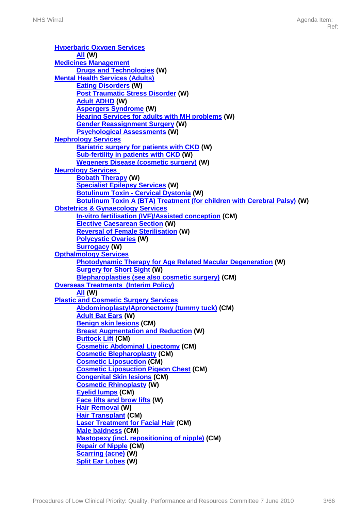**[Hyperbaric Oxygen Services](#page-29-0) [All](#page-29-1) (W) [Medicines Management](#page-30-0) [Drugs and Technologies](#page-30-1) (W) [Mental Health Services \(Adults\)](#page-31-0) [Eating Disorders](#page-31-1) (W) Post [Traumatic Stress Disorder](#page-31-2) (W) [Adult ADHD](#page-31-3) (W) [Aspergers Syndrome](#page-31-4) (W) [Hearing Services for adults with](#page-31-5) MH problems (W) [Gender Reassignment Surgery](#page-31-6) (W) [Psychological Assessments](#page-31-1) (W) [Nephrology Services](#page-33-0) [Bariatric surgery for patients with CKD](#page-33-1) (W) [Sub-fertility in patients with CKD](#page-33-1) (W) [Wegeners Disease \(cosmetic surgery\)](#page-33-1) (W) [Neurology Services](#page-34-0) [Bobath Therapy](#page-34-1) (W) [Specialist Epilepsy Services](#page-34-2) (W) [Botulinum Toxin -](#page-34-3) Cervical Dystonia (W) [Botulinum Toxin A \(BTA\) Treatment \(for children with Cerebral Palsy\)](#page-34-4) (W) [Obstetrics & Gynaecology Services](#page-35-0) [In-vitro fertilisation \(IVF\)/Assisted conception](#page-35-1) (CM) [Elective Caesarean Section](#page-36-0) (W) [Reversal of Female Sterilisation](#page-36-1) (W) [Polycystic Ovaries](#page-37-0) (W) [Surrogacy](#page-37-1) (W) [Opthalmology Services](#page-39-0) [Photodynamic Therapy for Age Related Macular Degeneration](#page-39-1) (W) [Surgery for Short Sight](#page-39-2) (W) [Blepharoplasties \(see also cosmetic surgery\)](#page-40-0) (CM) [Overseas Treatments \(Interim Policy\)](#page-41-0) [All](#page-41-1) (W) [Plastic and Cosmetic Surgery Services](#page-42-0) [Abdominoplasty/Apronectomy \(tummy tuck\)](#page-47-0) (CM) [Adult Bat Ears](#page-48-0) (W) [Benign skin lesions](#page-43-0) (CM) [Breast Augmentation and Reduction](#page-45-0) (W) [Buttock Lift](#page-42-1) (CM) [Cosmetiic Abdominal Lipectomy](#page-47-1) (CM) [Cosmetic Blepharoplasty](#page-42-1) (CM) [Cosmetic Liposuction](#page-47-2) (CM) [Cosmetic Liposuction Pigeon Chest](#page-42-1) (CM) [Congenital Skin lesions](#page-42-1) (CM) [Cosmetic Rhinoplasty](#page-48-1) (W) [Eyelid lumps](#page-42-1) (CM) [Face lifts and brow lifts](#page-48-2) (W) [Hair Removal](#page-49-0) (W) [Hair Transplant](#page-49-1) (CM) [Laser Treatment for Facial Hair](#page-42-1) (CM) [Male baldness](#page-49-2) (CM) [Mastopexy \(incl. repositioning of nipple\)](#page-46-0) (CM) [Repair of Nipple](#page-46-1) (CM) [Scarring \(acne\)](#page-44-0) (W) [Split Ear Lobes](#page-48-3) (W)**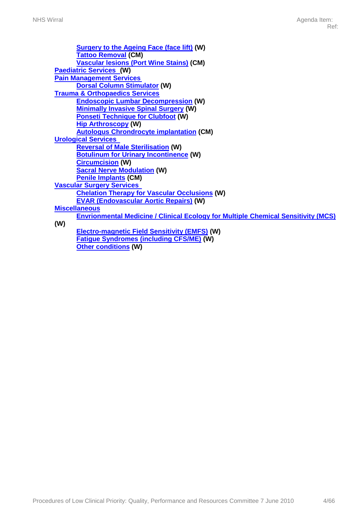| <b>Surgery to the Ageing Face (face lift) (W)</b>                                        |
|------------------------------------------------------------------------------------------|
| <b>Tattoo Removal (CM)</b>                                                               |
| <b>Vascular lesions (Port Wine Stains) (CM)</b>                                          |
| <b>Paediatric Services (W)</b>                                                           |
| <b>Pain Management Services</b>                                                          |
| <b>Dorsal Column Stimulator (W)</b>                                                      |
| <b>Trauma &amp; Orthopaedics Services</b>                                                |
| <b>Endoscopic Lumbar Decompression (W)</b>                                               |
| <b>Minimally Invasive Spinal Surgery (W)</b>                                             |
| <b>Ponseti Technique for Clubfoot (W)</b>                                                |
| <b>Hip Arthroscopy (W)</b>                                                               |
| <b>Autologus Chrondrocyte implantation (CM)</b>                                          |
| <b>Urological Services</b>                                                               |
| <b>Reversal of Male Sterilisation (W)</b>                                                |
| <b>Botulinum for Urinary Incontinence (W)</b>                                            |
| <b>Circumcision (W)</b>                                                                  |
| <b>Sacral Nerve Modulation (W)</b>                                                       |
| <b>Penile Implants (CM)</b>                                                              |
| <b>Vascular Surgery Services</b>                                                         |
| <b>Chelation Therapy for Vascular Occlusions (W)</b>                                     |
| <b>EVAR (Endovascular Aortic Repairs) (W)</b>                                            |
| <b>Miscellaneous</b>                                                                     |
| <b>Envrionmental Medicine / Clinical Ecology for Multiple Chemical Sensitivity (MCS)</b> |
| (W)                                                                                      |
|                                                                                          |
| <b>Electro-magnetic Field Sensitivity (EMFS) (W)</b>                                     |
| <b>Fatique Syndromes (including CFS/ME) (W)</b>                                          |

**[Other conditions](#page-58-4) (W)**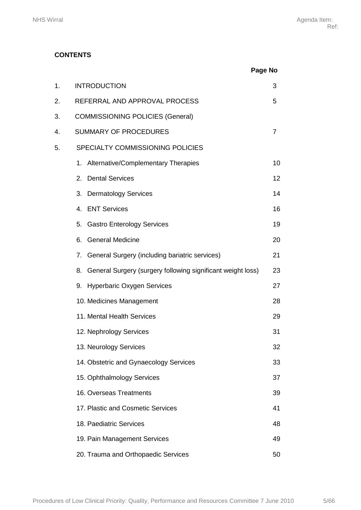## **CONTENTS**

|    |                                                                   | Page No        |
|----|-------------------------------------------------------------------|----------------|
| 1. | <b>INTRODUCTION</b>                                               | 3              |
| 2. | REFERRAL AND APPROVAL PROCESS                                     | 5              |
| 3. | <b>COMMISSIONING POLICIES (General)</b>                           |                |
| 4. | <b>SUMMARY OF PROCEDURES</b>                                      | $\overline{7}$ |
| 5. | SPECIALTY COMMISSIONING POLICIES                                  |                |
|    | Alternative/Complementary Therapies<br>1.                         | 10             |
|    | <b>Dental Services</b><br>2.                                      | 12             |
|    | 3.<br><b>Dermatology Services</b>                                 | 14             |
|    | <b>ENT Services</b><br>$\mathbf{4}$ .                             | 16             |
|    | <b>Gastro Enterology Services</b><br>5.                           | 19             |
|    | <b>General Medicine</b><br>6.                                     | 20             |
|    | <b>General Surgery (including bariatric services)</b><br>7.       | 21             |
|    | General Surgery (surgery following significant weight loss)<br>8. | 23             |
|    | <b>Hyperbaric Oxygen Services</b><br>9.                           | 27             |
|    | 10. Medicines Management                                          | 28             |
|    | 11. Mental Health Services                                        | 29             |
|    | 12. Nephrology Services                                           | 31             |
|    | 13. Neurology Services                                            | 32             |
|    | 14. Obstetric and Gynaecology Services                            | 33             |
|    | 15. Ophthalmology Services                                        | 37             |
|    | 16. Overseas Treatments                                           | 39             |
|    | 17. Plastic and Cosmetic Services                                 | 41             |
|    | 18. Paediatric Services                                           | 48             |
|    | 19. Pain Management Services                                      | 49             |
|    | 20. Trauma and Orthopaedic Services                               | 50             |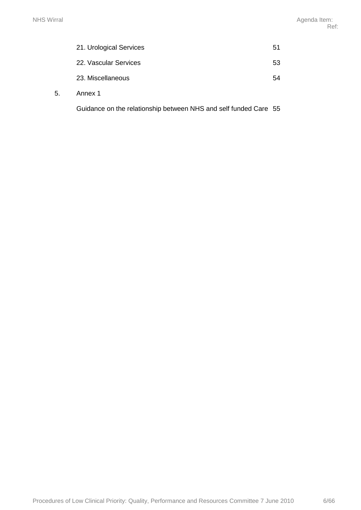$5.$ 

| 21. Urological Services | 51 |
|-------------------------|----|
| 22. Vascular Services   | 53 |
| 23. Miscellaneous       |    |
| Annex 1                 |    |

Guidance on the relationship between NHS and self funded Care 55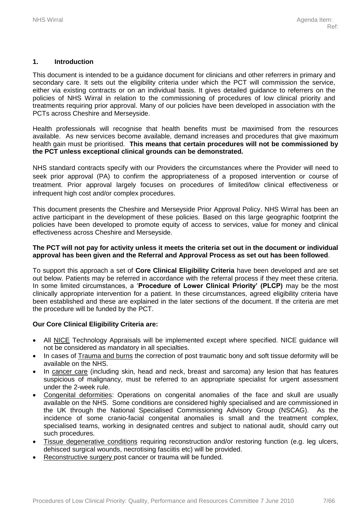## **1. Introduction**

This document is intended to be a guidance document for clinicians and other referrers in primary and secondary care. It sets out the eligibility criteria under which the PCT will commission the service, either via existing contracts or on an individual basis. It gives detailed guidance to referrers on the policies of NHS Wirral in relation to the commissioning of procedures of low clinical priority and treatments requiring prior approval. Many of our policies have been developed in association with the PCTs across Cheshire and Merseyside.

Health professionals will recognise that health benefits must be maximised from the resources available. As new services become available, demand increases and procedures that give maximum health gain must be prioritised. **This means that certain procedures will not be commissioned by the PCT unless exceptional clinical grounds can be demonstrated.** 

NHS standard contracts specify with our Providers the circumstances where the Provider will need to seek prior approval (PA) to confirm the appropriateness of a proposed intervention or course of treatment. Prior approval largely focuses on procedures of limited/low clinical effectiveness or infrequent high cost and/or complex procedures.

This document presents the Cheshire and Merseyside Prior Approval Policy. NHS Wirral has been an active participant in the development of these policies. Based on this large geographic footprint the policies have been developed to promote equity of access to services, value for money and clinical effectiveness across Cheshire and Merseyside.

#### **The PCT will not pay for activity unless it meets the criteria set out in the document or individual approval has been given and the Referral and Approval Process as set out has been followed**.

To support this approach a set of **Core Clinical Eligibility Criteria** have been developed and are set out below. Patients may be referred in accordance with the referral process if they meet these criteria. In some limited circumstances, a '**Procedure of Lower Clinical Priority' (PLCP)** may be the most clinically appropriate intervention for a patient. In these circumstances, agreed eligibility criteria have been established and these are explained in the later sections of the document. If the criteria are met the procedure will be funded by the PCT.

## **Our Core Clinical Eligibility Criteria are:**

- All NICE Technology Appraisals will be implemented except where specified. NICE guidance will not be considered as mandatory in all specialties.
- In cases of Trauma and burns the correction of post traumatic bony and soft tissue deformity will be available on the NHS.
- In cancer care (including skin, head and neck, breast and sarcoma) any lesion that has features suspicious of malignancy, must be referred to an appropriate specialist for urgent assessment under the 2-week rule.
- Congenital deformities: Operations on congenital anomalies of the face and skull are usually available on the NHS. Some conditions are considered highly specialised and are commissioned in the UK through the National Specialised Commissioning Advisory Group (NSCAG). As the incidence of some cranio-facial congenital anomalies is small and the treatment complex, specialised teams, working in designated centres and subject to national audit, should carry out such procedures.
- Tissue degenerative conditions requiring reconstruction and/or restoring function (e.g. leg ulcers, dehisced surgical wounds, necrotising fasciitis etc) will be provided.
- Reconstructive surgery post cancer or trauma will be funded.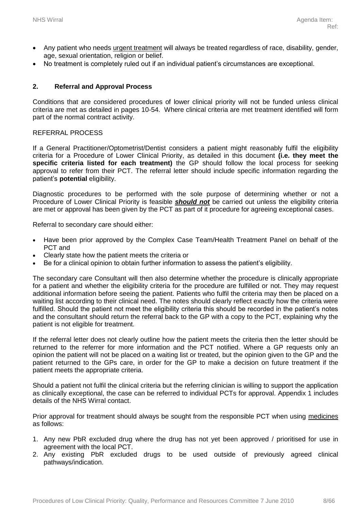- Any patient who needs urgent treatment will always be treated regardless of race, disability, gender, age, sexual orientation, religion or belief.
- No treatment is completely ruled out if an individual patient's circumstances are exceptional.

#### **2. Referral and Approval Process**

Conditions that are considered procedures of lower clinical priority will not be funded unless clinical criteria are met as detailed in pages 10-54. Where clinical criteria are met treatment identified will form part of the normal contract activity.

#### REFERRAL PROCESS

If a General Practitioner/Optometrist/Dentist considers a patient might reasonably fulfil the eligibility criteria for a Procedure of Lower Clinical Priority, as detailed in this document **(i.e. they meet the specific criteria listed for each treatment)** the GP should follow the local process for seeking approval to refer from their PCT. The referral letter should include specific information regarding the patient's **potential** eligibility.

Diagnostic procedures to be performed with the sole purpose of determining whether or not a Procedure of Lower Clinical Priority is feasible *should not* be carried out unless the eligibility criteria are met or approval has been given by the PCT as part of it procedure for agreeing exceptional cases.

Referral to secondary care should either:

- Have been prior approved by the Complex Case Team/Health Treatment Panel on behalf of the PCT and
- Clearly state how the patient meets the criteria or
- Be for a clinical opinion to obtain further information to assess the patient's eligibility.

The secondary care Consultant will then also determine whether the procedure is clinically appropriate for a patient and whether the eligibility criteria for the procedure are fulfilled or not. They may request additional information before seeing the patient. Patients who fulfil the criteria may then be placed on a waiting list according to their clinical need. The notes should clearly reflect exactly how the criteria were fulfilled. Should the patient not meet the eligibility criteria this should be recorded in the patient's notes and the consultant should return the referral back to the GP with a copy to the PCT, explaining why the patient is not eligible for treatment.

If the referral letter does not clearly outline how the patient meets the criteria then the letter should be returned to the referrer for more information and the PCT notified. Where a GP requests only an opinion the patient will not be placed on a waiting list or treated, but the opinion given to the GP and the patient returned to the GPs care, in order for the GP to make a decision on future treatment if the patient meets the appropriate criteria.

Should a patient not fulfil the clinical criteria but the referring clinician is willing to support the application as clinically exceptional, the case can be referred to individual PCTs for approval. Appendix 1 includes details of the NHS Wirral contact.

Prior approval for treatment should always be sought from the responsible PCT when using medicines as follows:

- 1. Any new PbR excluded drug where the drug has not yet been approved / prioritised for use in agreement with the local PCT.
- 2. Any existing PbR excluded drugs to be used outside of previously agreed clinical pathways/indication.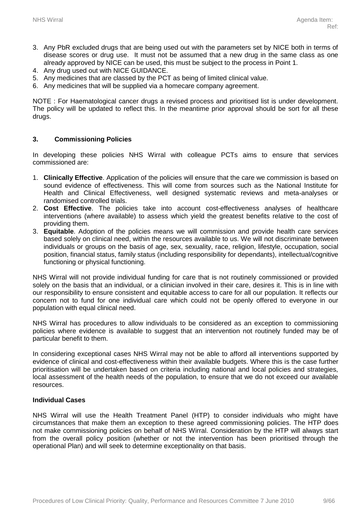- 3. Any PbR excluded drugs that are being used out with the parameters set by NICE both in terms of disease scores or drug use. It must not be assumed that a new drug in the same class as one already approved by NICE can be used, this must be subject to the process in Point 1.
- 4. Any drug used out with NICE GUIDANCE.
- 5. Any medicines that are classed by the PCT as being of limited clinical value.
- 6. Any medicines that will be supplied via a homecare company agreement.

NOTE : For Haematological cancer drugs a revised process and prioritised list is under development. The policy will be updated to reflect this. In the meantime prior approval should be sort for all these drugs.

#### **3. Commissioning Policies**

In developing these policies NHS Wirral with colleague PCTs aims to ensure that services commissioned are:

- 1. **Clinically Effective**. Application of the policies will ensure that the care we commission is based on sound evidence of effectiveness. This will come from sources such as the National Institute for Health and Clinical Effectiveness, well designed systematic reviews and meta-analyses or randomised controlled trials.
- 2. **Cost Effective**. The policies take into account cost-effectiveness analyses of healthcare interventions (where available) to assess which yield the greatest benefits relative to the cost of providing them.
- 3. **Equitable**. Adoption of the policies means we will commission and provide health care services based solely on clinical need, within the resources available to us. We will not discriminate between individuals or groups on the basis of age, sex, sexuality, race, religion, lifestyle, occupation, social position, financial status, family status (including responsibility for dependants), intellectual/cognitive functioning or physical functioning.

NHS Wirral will not provide individual funding for care that is not routinely commissioned or provided solely on the basis that an individual, or a clinician involved in their care, desires it. This is in line with our responsibility to ensure consistent and equitable access to care for all our population. It reflects our concern not to fund for one individual care which could not be openly offered to everyone in our population with equal clinical need.

NHS Wirral has procedures to allow individuals to be considered as an exception to commissioning policies where evidence is available to suggest that an intervention not routinely funded may be of particular benefit to them.

In considering exceptional cases NHS Wirral may not be able to afford all interventions supported by evidence of clinical and cost-effectiveness within their available budgets. Where this is the case further prioritisation will be undertaken based on criteria including national and local policies and strategies, local assessment of the health needs of the population, to ensure that we do not exceed our available resources.

#### **Individual Cases**

NHS Wirral will use the Health Treatment Panel (HTP) to consider individuals who might have circumstances that make them an exception to these agreed commissioning policies. The HTP does not make commissioning policies on behalf of NHS Wirral. Consideration by the HTP will always start from the overall policy position (whether or not the intervention has been prioritised through the operational Plan) and will seek to determine exceptionality on that basis.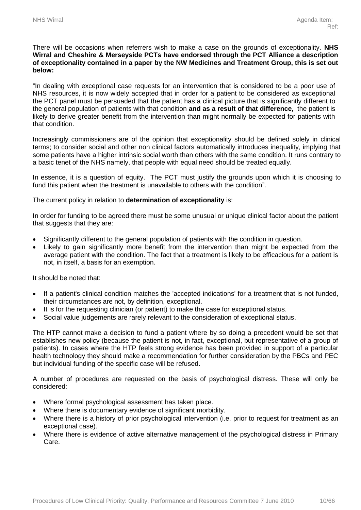#### There will be occasions when referrers wish to make a case on the grounds of exceptionality. **NHS Wirral and Cheshire & Merseyside PCTs have endorsed through the PCT Alliance a description of exceptionality contained in a paper by the NW Medicines and Treatment Group, this is set out below:**

"In dealing with exceptional case requests for an intervention that is considered to be a poor use of NHS resources, it is now widely accepted that in order for a patient to be considered as exceptional the PCT panel must be persuaded that the patient has a clinical picture that is significantly different to the general population of patients with that condition **and as a result of that difference,** the patient is likely to derive greater benefit from the intervention than might normally be expected for patients with that condition.

Increasingly commissioners are of the opinion that exceptionality should be defined solely in clinical terms; to consider social and other non clinical factors automatically introduces inequality, implying that some patients have a higher intrinsic social worth than others with the same condition. It runs contrary to a basic tenet of the NHS namely, that people with equal need should be treated equally.

In essence, it is a question of equity. The PCT must justify the grounds upon which it is choosing to fund this patient when the treatment is unavailable to others with the condition".

The current policy in relation to **determination of exceptionality** is:

In order for funding to be agreed there must be some unusual or unique clinical factor about the patient that suggests that they are:

- Significantly different to the general population of patients with the condition in question.
- Likely to gain significantly more benefit from the intervention than might be expected from the average patient with the condition. The fact that a treatment is likely to be efficacious for a patient is not, in itself, a basis for an exemption.

It should be noted that:

- If a patient's clinical condition matches the 'accepted indications' for a treatment that is not funded, their circumstances are not, by definition, exceptional.
- It is for the requesting clinician (or patient) to make the case for exceptional status.
- Social value judgements are rarely relevant to the consideration of exceptional status.

The HTP cannot make a decision to fund a patient where by so doing a precedent would be set that establishes new policy (because the patient is not, in fact, exceptional, but representative of a group of patients). In cases where the HTP feels strong evidence has been provided in support of a particular health technology they should make a recommendation for further consideration by the PBCs and PEC but individual funding of the specific case will be refused.

A number of procedures are requested on the basis of psychological distress. These will only be considered:

- Where formal psychological assessment has taken place.
- Where there is documentary evidence of significant morbidity.
- Where there is a history of prior psychological intervention (i.e. prior to request for treatment as an exceptional case).
- Where there is evidence of active alternative management of the psychological distress in Primary Care.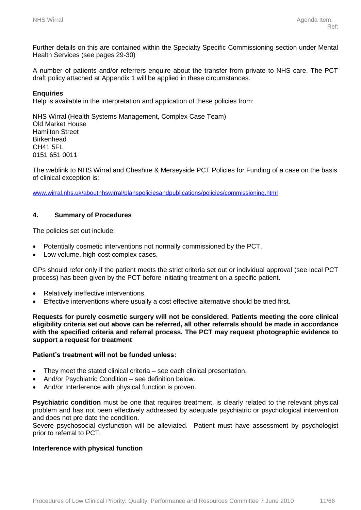Further details on this are contained within the Specialty Specific Commissioning section under Mental Health Services (see pages 29-30)

A number of patients and/or referrers enquire about the transfer from private to NHS care. The PCT draft policy attached at Appendix 1 will be applied in these circumstances.

#### **Enquiries**

Help is available in the interpretation and application of these policies from:

NHS Wirral (Health Systems Management, Complex Case Team) Old Market House Hamilton Street **Birkenhead** CH41 5FL 0151 651 0011

The weblink to NHS Wirral and Cheshire & Merseyside PCT Policies for Funding of a case on the basis of clinical exception is:

[www.wirral.nhs.uk/aboutnhswirral/planspoliciesandpublications/policies/commissioning.html](http://www.wirral.nhs.uk/aboutnhswirral/planspoliciesandpublications/policies/commissioning.html)

#### **4. Summary of Procedures**

The policies set out include:

- Potentially cosmetic interventions not normally commissioned by the PCT.
- Low volume, high-cost complex cases.

GPs should refer only if the patient meets the strict criteria set out or individual approval (see local PCT process) has been given by the PCT before initiating treatment on a specific patient.

- Relatively ineffective interventions.
- Effective interventions where usually a cost effective alternative should be tried first.

**Requests for purely cosmetic surgery will not be considered. Patients meeting the core clinical eligibility criteria set out above can be referred, all other referrals should be made in accordance with the specified criteria and referral process. The PCT may request photographic evidence to support a request for treatment**

#### **Patient's treatment will not be funded unless:**

- They meet the stated clinical criteria see each clinical presentation.
- And/or Psychiatric Condition see definition below.
- And/or Interference with physical function is proven.

**Psychiatric condition** must be one that requires treatment, is clearly related to the relevant physical problem and has not been effectively addressed by adequate psychiatric or psychological intervention and does not pre date the condition.

Severe psychosocial dysfunction will be alleviated. Patient must have assessment by psychologist prior to referral to PCT.

#### **Interference with physical function**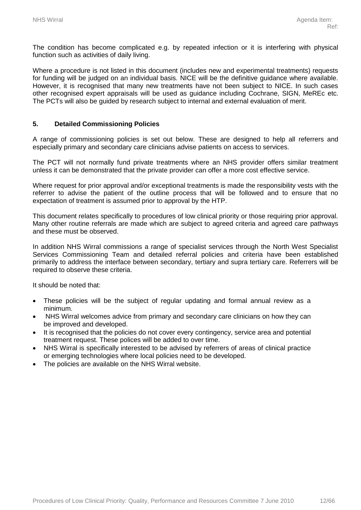The condition has become complicated e.g. by repeated infection or it is interfering with physical function such as activities of daily living.

Where a procedure is not listed in this document (includes new and experimental treatments) requests for funding will be judged on an individual basis. NICE will be the definitive guidance where available. However, it is recognised that many new treatments have not been subject to NICE. In such cases other recognised expert appraisals will be used as guidance including Cochrane, SIGN, MeREc etc. The PCTs will also be guided by research subject to internal and external evaluation of merit.

## **5. Detailed Commissioning Policies**

A range of commissioning policies is set out below. These are designed to help all referrers and especially primary and secondary care clinicians advise patients on access to services.

The PCT will not normally fund private treatments where an NHS provider offers similar treatment unless it can be demonstrated that the private provider can offer a more cost effective service.

Where request for prior approval and/or exceptional treatments is made the responsibility vests with the referrer to advise the patient of the outline process that will be followed and to ensure that no expectation of treatment is assumed prior to approval by the HTP.

This document relates specifically to procedures of low clinical priority or those requiring prior approval. Many other routine referrals are made which are subject to agreed criteria and agreed care pathways and these must be observed.

In addition NHS Wirral commissions a range of specialist services through the North West Specialist Services Commissioning Team and detailed referral policies and criteria have been established primarily to address the interface between secondary, tertiary and supra tertiary care. Referrers will be required to observe these criteria.

It should be noted that:

- These policies will be the subject of regular updating and formal annual review as a minimum.
- NHS Wirral welcomes advice from primary and secondary care clinicians on how they can be improved and developed.
- It is recognised that the policies do not cover every contingency, service area and potential treatment request. These polices will be added to over time.
- NHS Wirral is specifically interested to be advised by referrers of areas of clinical practice or emerging technologies where local policies need to be developed.
- The policies are available on the NHS Wirral website.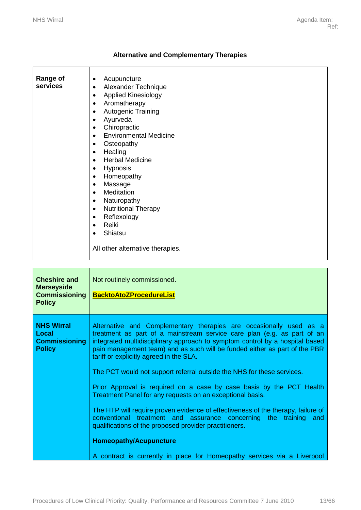Ē

 $\overline{\phantom{a}}$ 

<span id="page-12-0"></span>

| Range of<br>Acupuncture<br>$\bullet$<br>services<br>Alexander Technique<br>٠<br><b>Applied Kinesiology</b><br>Aromatherapy<br>$\bullet$<br><b>Autogenic Training</b>                                                                                                                                                                                                              |          |
|-----------------------------------------------------------------------------------------------------------------------------------------------------------------------------------------------------------------------------------------------------------------------------------------------------------------------------------------------------------------------------------|----------|
| Chiropractic<br><b>Environmental Medicine</b><br>٠<br>Osteopathy<br>٠<br>Healing<br>$\bullet$<br><b>Herbal Medicine</b><br>$\bullet$<br>Hypnosis<br>Homeopathy<br>$\bullet$<br>Massage<br>$\bullet$<br>Meditation<br>$\bullet$<br>Naturopathy<br>$\bullet$<br><b>Nutritional Therapy</b><br>$\bullet$<br>Reflexology<br>٠<br>Reiki<br>Shiatsu<br>All other alternative therapies. | Ayurveda |

## **Alternative and Complementary Therapies**

<span id="page-12-2"></span><span id="page-12-1"></span>

| <b>Cheshire and</b><br><b>Merseyside</b><br><b>Commissioning</b><br><b>Policy</b> | Not routinely commissioned.<br><b>BacktoAtoZProcedureList</b>                                                                                                                                                                                                                                                                                                                                                                    |
|-----------------------------------------------------------------------------------|----------------------------------------------------------------------------------------------------------------------------------------------------------------------------------------------------------------------------------------------------------------------------------------------------------------------------------------------------------------------------------------------------------------------------------|
| <b>NHS Wirral</b><br>Local<br><b>Commissioning</b><br><b>Policy</b>               | Alternative and Complementary therapies are occasionally used as a<br>treatment as part of a mainstream service care plan (e.g. as part of an<br>integrated multidisciplinary approach to symptom control by a hospital based<br>pain management team) and as such will be funded either as part of the PBR<br>tariff or explicitly agreed in the SLA.<br>The PCT would not support referral outside the NHS for these services. |
|                                                                                   | Prior Approval is required on a case by case basis by the PCT Health<br>Treatment Panel for any requests on an exceptional basis.<br>The HTP will require proven evidence of effectiveness of the therapy, failure of<br>conventional treatment and assurance concerning the training and<br>qualifications of the proposed provider practitioners.                                                                              |
|                                                                                   | <b>Homeopathy/Acupuncture</b><br>A contract is currently in place for Homeopathy services via a Liverpool                                                                                                                                                                                                                                                                                                                        |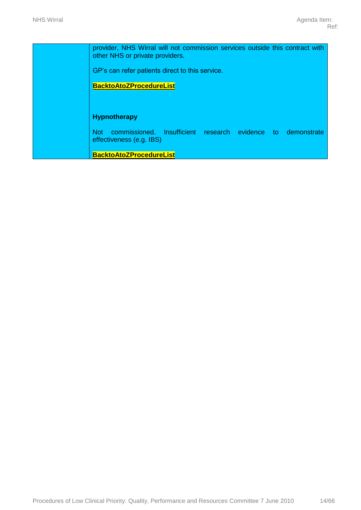<span id="page-13-0"></span>

| provider, NHS Wirral will not commission services outside this contract with<br>other NHS or private providers. |
|-----------------------------------------------------------------------------------------------------------------|
| GP's can refer patients direct to this service.                                                                 |
| <b>BacktoAtoZProcedureList</b>                                                                                  |
|                                                                                                                 |
| <b>Hypnotherapy</b>                                                                                             |
| commissioned. Insufficient research evidence to demonstrate<br>Not:<br>effectiveness (e.g. IBS)                 |
| <b>BacktoAtoZProcedureList</b>                                                                                  |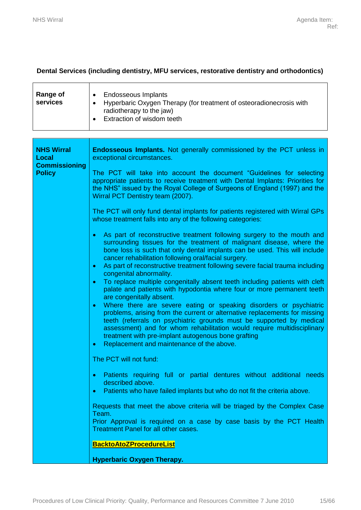# <span id="page-14-0"></span>**Dental Services (including dentistry, MFU services, restorative dentistry and orthodontics)**

| Range of<br>services | Endosseous Implants<br>Hyperbaric Oxygen Therapy (for treatment of osteoradionecrosis with<br>radiotherapy to the jaw)<br>Extraction of wisdom teeth |
|----------------------|------------------------------------------------------------------------------------------------------------------------------------------------------|
|                      |                                                                                                                                                      |
|                      |                                                                                                                                                      |

<span id="page-14-2"></span><span id="page-14-1"></span>

| <b>NHS Wirral</b><br>Local<br><b>Commissioning</b> | <b>Endosseous Implants.</b> Not generally commissioned by the PCT unless in<br>exceptional circumstances.                                                                                                                                                                                                                                                                                                                                                                                                                                                                                                                                                                                                                                                                                                                                                                                                                                                                                                                                                 |
|----------------------------------------------------|-----------------------------------------------------------------------------------------------------------------------------------------------------------------------------------------------------------------------------------------------------------------------------------------------------------------------------------------------------------------------------------------------------------------------------------------------------------------------------------------------------------------------------------------------------------------------------------------------------------------------------------------------------------------------------------------------------------------------------------------------------------------------------------------------------------------------------------------------------------------------------------------------------------------------------------------------------------------------------------------------------------------------------------------------------------|
| <b>Policy</b>                                      | The PCT will take into account the document "Guidelines for selecting<br>appropriate patients to receive treatment with Dental Implants: Priorities for<br>the NHS" issued by the Royal College of Surgeons of England (1997) and the<br>Wirral PCT Dentistry team (2007).                                                                                                                                                                                                                                                                                                                                                                                                                                                                                                                                                                                                                                                                                                                                                                                |
|                                                    | The PCT will only fund dental implants for patients registered with Wirral GPs<br>whose treatment falls into any of the following categories:                                                                                                                                                                                                                                                                                                                                                                                                                                                                                                                                                                                                                                                                                                                                                                                                                                                                                                             |
|                                                    | As part of reconstructive treatment following surgery to the mouth and<br>$\bullet$<br>surrounding tissues for the treatment of malignant disease, where the<br>bone loss is such that only dental implants can be used. This will include<br>cancer rehabilitation following oral/facial surgery.<br>As part of reconstructive treatment following severe facial trauma including<br>$\bullet$<br>congenital abnormality.<br>To replace multiple congenitally absent teeth including patients with cleft<br>$\bullet$<br>palate and patients with hypodontia where four or more permanent teeth<br>are congenitally absent.<br>Where there are severe eating or speaking disorders or psychiatric<br>$\bullet$<br>problems, arising from the current or alternative replacements for missing<br>teeth (referrals on psychiatric grounds must be supported by medical<br>assessment) and for whom rehabilitation would require multidisciplinary<br>treatment with pre-implant autogenous bone grafting<br>Replacement and maintenance of the above.<br>۰ |
|                                                    | The PCT will not fund:                                                                                                                                                                                                                                                                                                                                                                                                                                                                                                                                                                                                                                                                                                                                                                                                                                                                                                                                                                                                                                    |
|                                                    | Patients requiring full or partial dentures without additional needs<br>$\bullet$<br>described above.<br>Patients who have failed implants but who do not fit the criteria above.<br>۰                                                                                                                                                                                                                                                                                                                                                                                                                                                                                                                                                                                                                                                                                                                                                                                                                                                                    |
|                                                    | Requests that meet the above criteria will be triaged by the Complex Case<br>Team.<br>Prior Approval is required on a case by case basis by the PCT Health<br><b>Treatment Panel for all other cases.</b>                                                                                                                                                                                                                                                                                                                                                                                                                                                                                                                                                                                                                                                                                                                                                                                                                                                 |
|                                                    | <b>BacktoAtoZProcedureList</b>                                                                                                                                                                                                                                                                                                                                                                                                                                                                                                                                                                                                                                                                                                                                                                                                                                                                                                                                                                                                                            |
|                                                    | <b>Hyperbaric Oxygen Therapy.</b>                                                                                                                                                                                                                                                                                                                                                                                                                                                                                                                                                                                                                                                                                                                                                                                                                                                                                                                                                                                                                         |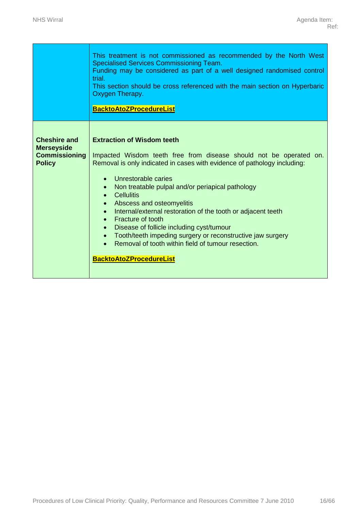<span id="page-15-0"></span>

|                                                                                   | This treatment is not commissioned as recommended by the North West<br><b>Specialised Services Commissioning Team.</b><br>Funding may be considered as part of a well designed randomised control<br>trial.<br>This section should be cross referenced with the main section on Hyperbaric<br>Oxygen Therapy.<br><b>BacktoAtoZProcedureList</b>                                                                                                                                                                                                                                                                                                                                                     |
|-----------------------------------------------------------------------------------|-----------------------------------------------------------------------------------------------------------------------------------------------------------------------------------------------------------------------------------------------------------------------------------------------------------------------------------------------------------------------------------------------------------------------------------------------------------------------------------------------------------------------------------------------------------------------------------------------------------------------------------------------------------------------------------------------------|
| <b>Cheshire and</b><br><b>Merseyside</b><br><b>Commissioning</b><br><b>Policy</b> | <b>Extraction of Wisdom teeth</b><br>Impacted Wisdom teeth free from disease should not be operated on.<br>Removal is only indicated in cases with evidence of pathology including:<br>Unrestorable caries<br>$\bullet$<br>Non treatable pulpal and/or periapical pathology<br>$\bullet$<br>Cellulitis<br>$\bullet$<br>Abscess and osteomyelitis<br>$\bullet$<br>Internal/external restoration of the tooth or adjacent teeth<br><b>Eracture of tooth</b><br>$\bullet$<br>Disease of follicle including cyst/tumour<br>$\bullet$<br>Tooth/teeth impeding surgery or reconstructive jaw surgery<br>$\bullet$<br>Removal of tooth within field of tumour resection.<br><b>BacktoAtoZProcedureList</b> |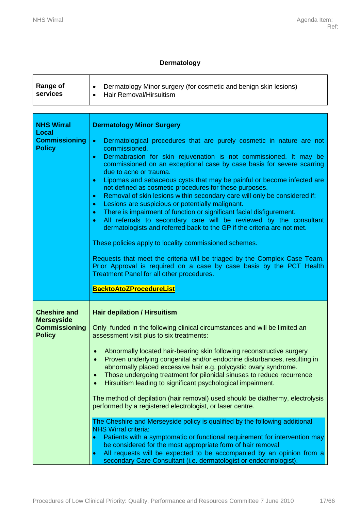## **Dermatology**

<span id="page-16-0"></span>

| Range of | Dermatology Minor surgery (for cosmetic and benign skin lesions) |
|----------|------------------------------------------------------------------|
| services | Hair Removal/Hirsuitism                                          |
|          |                                                                  |

<span id="page-16-2"></span><span id="page-16-1"></span>

| <b>NHS Wirral</b>                                                                 | <b>Dermatology Minor Surgery</b>                                                                                                                                                                                                                                                                                                                                                                                                                                                                                                                                                                                                                                                                                                                                                                                                                                                                                                                                                                                                                                                                                                             |
|-----------------------------------------------------------------------------------|----------------------------------------------------------------------------------------------------------------------------------------------------------------------------------------------------------------------------------------------------------------------------------------------------------------------------------------------------------------------------------------------------------------------------------------------------------------------------------------------------------------------------------------------------------------------------------------------------------------------------------------------------------------------------------------------------------------------------------------------------------------------------------------------------------------------------------------------------------------------------------------------------------------------------------------------------------------------------------------------------------------------------------------------------------------------------------------------------------------------------------------------|
| Local<br><b>Commissioning</b><br><b>Policy</b>                                    | Dermatological procedures that are purely cosmetic in nature are not<br>$\bullet$<br>commissioned.<br>Dermabrasion for skin rejuvenation is not commissioned. It may be<br>$\bullet$<br>commissioned on an exceptional case by case basis for severe scarring<br>due to acne or trauma.<br>Lipomas and sebaceous cysts that may be painful or become infected are<br>$\bullet$<br>not defined as cosmetic procedures for these purposes.<br>Removal of skin lesions within secondary care will only be considered if:<br>۰<br>Lesions are suspicious or potentially malignant.<br>$\bullet$<br>There is impairment of function or significant facial disfigurement.<br>$\bullet$<br>All referrals to secondary care will be reviewed by the consultant<br>$\bullet$<br>dermatologists and referred back to the GP if the criteria are not met.<br>These policies apply to locality commissioned schemes.<br>Requests that meet the criteria will be triaged by the Complex Case Team.<br>Prior Approval is required on a case by case basis by the PCT Health<br>Treatment Panel for all other procedures.<br><b>BacktoAtoZProcedureList</b> |
|                                                                                   |                                                                                                                                                                                                                                                                                                                                                                                                                                                                                                                                                                                                                                                                                                                                                                                                                                                                                                                                                                                                                                                                                                                                              |
| <b>Cheshire and</b><br><b>Merseyside</b><br><b>Commissioning</b><br><b>Policy</b> | <b>Hair depilation / Hirsuitism</b><br>Only funded in the following clinical circumstances and will be limited an<br>assessment visit plus to six treatments:<br>Abnormally located hair-bearing skin following reconstructive surgery<br>$\bullet$<br>Proven underlying congenital and/or endocrine disturbances, resulting in<br>$\bullet$<br>abnormally placed excessive hair e.g. polycystic ovary syndrome.<br>Those undergoing treatment for pilonidal sinuses to reduce recurrence<br>Hirsuitism leading to significant psychological impairment.<br>$\bullet$<br>The method of depilation (hair removal) used should be diathermy, electrolysis<br>performed by a registered electrologist, or laser centre.<br>The Cheshire and Merseyside policy is qualified by the following additional<br><b>NHS Wirral criteria:</b><br>Patients with a symptomatic or functional requirement for intervention may<br>be considered for the most appropriate form of hair removal<br>All requests will be expected to be accompanied by an opinion from a<br>secondary Care Consultant (i.e. dermatologist or endocrinologist).                |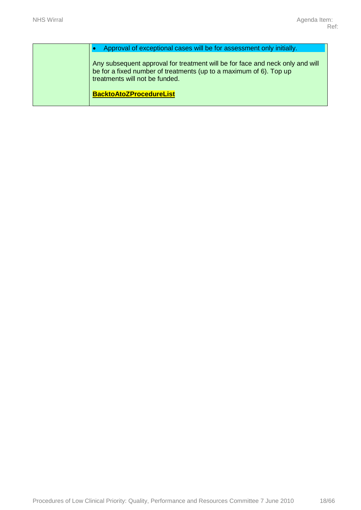| Approval of exceptional cases will be for assessment only initially.                                                                                                                  |
|---------------------------------------------------------------------------------------------------------------------------------------------------------------------------------------|
| Any subsequent approval for treatment will be for face and neck only and will<br>be for a fixed number of treatments (up to a maximum of 6). Top up<br>treatments will not be funded. |
| <b>BacktoAtoZProcedureList</b>                                                                                                                                                        |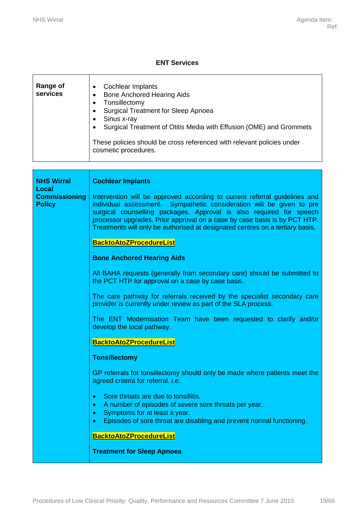## **ENT Services**

<span id="page-18-0"></span>

| Range of<br>services | Cochlear Implants<br><b>Bone Anchored Hearing Aids</b><br>Tonsillectomy<br><b>Surgical Treatment for Sleep Apnoea</b><br>Sinus x-ray<br>Surgical Treatment of Otitis Media with Effusion (OME) and Grommets<br>These policies should be cross referenced with relevant policies under<br>cosmetic procedures. |
|----------------------|---------------------------------------------------------------------------------------------------------------------------------------------------------------------------------------------------------------------------------------------------------------------------------------------------------------|
|----------------------|---------------------------------------------------------------------------------------------------------------------------------------------------------------------------------------------------------------------------------------------------------------------------------------------------------------|

<span id="page-18-4"></span><span id="page-18-3"></span><span id="page-18-2"></span><span id="page-18-1"></span>

| <b>NHS Wirral</b>                              | <b>Cochlear Implants</b>                                                                                                                                                                                                                                                                                                                                                                 |
|------------------------------------------------|------------------------------------------------------------------------------------------------------------------------------------------------------------------------------------------------------------------------------------------------------------------------------------------------------------------------------------------------------------------------------------------|
| Local<br><b>Commissioning</b><br><b>Policy</b> | Intervention will be approved according to current referral guidelines and<br>individual assessment. Sympathetic consideration will be given to pre<br>surgical counselling packages. Approval is also required for speech<br>processor upgrades. Prior approval on a case by case basis is by PCT HTP.<br>Treatments will only be authorised at designated centres on a tertiary basis. |
|                                                | <b>BacktoAtoZProcedureList</b>                                                                                                                                                                                                                                                                                                                                                           |
|                                                | <b>Bone Anchored Hearing Aids</b>                                                                                                                                                                                                                                                                                                                                                        |
|                                                | All BAHA requests (generally from secondary care) should be submitted to<br>the PCT HTP for approval on a case by case basis.                                                                                                                                                                                                                                                            |
|                                                | The care pathway for referrals received by the specialist secondary care<br>provider is currently under review as part of the SLA process.                                                                                                                                                                                                                                               |
|                                                | The ENT Modernisation Team have been requested to clarify and/or<br>develop the local pathway.                                                                                                                                                                                                                                                                                           |
|                                                | <b>BacktoAtoZProcedureList</b>                                                                                                                                                                                                                                                                                                                                                           |
|                                                | <b>Tonsillectomy</b>                                                                                                                                                                                                                                                                                                                                                                     |
|                                                | GP referrals for tonsillectomy should only be made where patients meet the<br>agreed criteria for referral. i.e.                                                                                                                                                                                                                                                                         |
|                                                | Sore throats are due to tonsillitis.<br>$\bullet$                                                                                                                                                                                                                                                                                                                                        |
|                                                | • A number of episodes of severe sore throats per year.<br>Symptoms for at least a year.<br>$\bullet$                                                                                                                                                                                                                                                                                    |
|                                                | Episodes of sore throat are disabling and prevent normal functioning.<br>$\bullet$                                                                                                                                                                                                                                                                                                       |
|                                                | <b>BacktoAtoZProcedureList</b>                                                                                                                                                                                                                                                                                                                                                           |
|                                                | <b>Treatment for Sleep Apnoea</b>                                                                                                                                                                                                                                                                                                                                                        |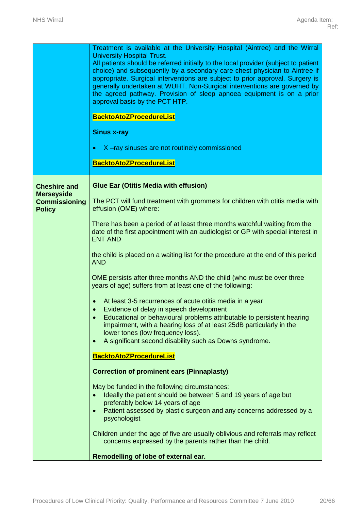<span id="page-19-1"></span><span id="page-19-0"></span>

|                                                                                   | Treatment is available at the University Hospital (Aintree) and the Wirral<br><b>University Hospital Trust.</b><br>All patients should be referred initially to the local provider (subject to patient<br>choice) and subsequently by a secondary care chest physician to Aintree if<br>appropriate. Surgical interventions are subject to prior approval. Surgery is<br>generally undertaken at WUHT. Non-Surgical interventions are governed by<br>the agreed pathway. Provision of sleep apnoea equipment is on a prior<br>approval basis by the PCT HTP.<br><b>BacktoAtoZProcedureList</b><br><b>Sinus x-ray</b><br>X-ray sinuses are not routinely commissioned<br>$\bullet$<br><b>BacktoAtoZProcedureList</b>                                                                                                                                                                                                                                                                                                                                                                                                                                                                                                                                                                                                                                                                                                                                                                   |
|-----------------------------------------------------------------------------------|---------------------------------------------------------------------------------------------------------------------------------------------------------------------------------------------------------------------------------------------------------------------------------------------------------------------------------------------------------------------------------------------------------------------------------------------------------------------------------------------------------------------------------------------------------------------------------------------------------------------------------------------------------------------------------------------------------------------------------------------------------------------------------------------------------------------------------------------------------------------------------------------------------------------------------------------------------------------------------------------------------------------------------------------------------------------------------------------------------------------------------------------------------------------------------------------------------------------------------------------------------------------------------------------------------------------------------------------------------------------------------------------------------------------------------------------------------------------------------------|
| <b>Cheshire and</b><br><b>Merseyside</b><br><b>Commissioning</b><br><b>Policy</b> | <b>Glue Ear (Otitis Media with effusion)</b><br>The PCT will fund treatment with grommets for children with otitis media with<br>effusion (OME) where:<br>There has been a period of at least three months watchful waiting from the<br>date of the first appointment with an audiologist or GP with special interest in<br><b>ENT AND</b><br>the child is placed on a waiting list for the procedure at the end of this period<br><b>AND</b><br>OME persists after three months AND the child (who must be over three<br>years of age) suffers from at least one of the following:<br>At least 3-5 recurrences of acute otitis media in a year<br>Evidence of delay in speech development<br>Educational or behavioural problems attributable to persistent hearing<br>impairment, with a hearing loss of at least 25dB particularly in the<br>lower tones (low frequency loss).<br>A significant second disability such as Downs syndrome.<br>$\bullet$<br><b>BacktoAtoZProcedureList</b><br><b>Correction of prominent ears (Pinnaplasty)</b><br>May be funded in the following circumstances:<br>Ideally the patient should be between 5 and 19 years of age but<br>preferably below 14 years of age<br>Patient assessed by plastic surgeon and any concerns addressed by a<br>psychologist<br>Children under the age of five are usually oblivious and referrals may reflect<br>concerns expressed by the parents rather than the child.<br>Remodelling of lobe of external ear. |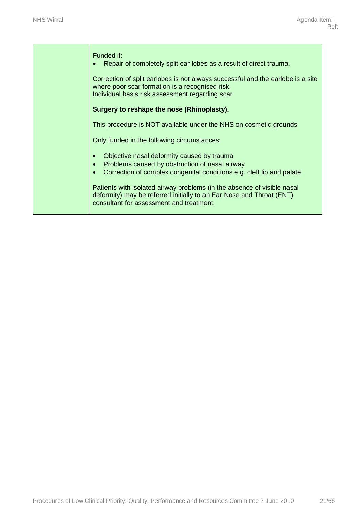| Funded if:<br>Repair of completely split ear lobes as a result of direct trauma.<br>Correction of split earlobes is not always successful and the earlobe is a site<br>where poor scar formation is a recognised risk.<br>Individual basis risk assessment regarding scar                                                                                            |
|----------------------------------------------------------------------------------------------------------------------------------------------------------------------------------------------------------------------------------------------------------------------------------------------------------------------------------------------------------------------|
| Surgery to reshape the nose (Rhinoplasty).                                                                                                                                                                                                                                                                                                                           |
| This procedure is NOT available under the NHS on cosmetic grounds                                                                                                                                                                                                                                                                                                    |
| Only funded in the following circumstances:                                                                                                                                                                                                                                                                                                                          |
| Objective nasal deformity caused by trauma<br>Problems caused by obstruction of nasal airway<br>Correction of complex congenital conditions e.g. cleft lip and palate<br>Patients with isolated airway problems (in the absence of visible nasal<br>deformity) may be referred initially to an Ear Nose and Throat (ENT)<br>consultant for assessment and treatment. |
|                                                                                                                                                                                                                                                                                                                                                                      |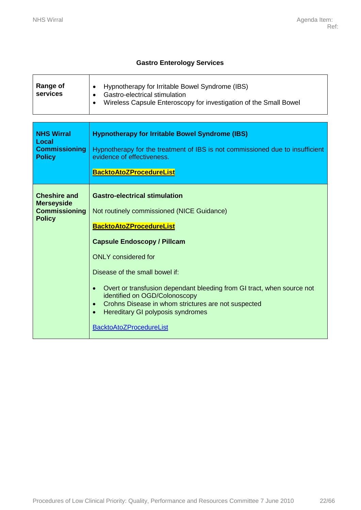## **Gastro Enterology Services**

<span id="page-21-0"></span>

| Range of<br>services | Hypnotherapy for Irritable Bowel Syndrome (IBS)<br><b>Gastro-electrical stimulation</b><br>Wireless Capsule Enteroscopy for investigation of the Small Bowel |
|----------------------|--------------------------------------------------------------------------------------------------------------------------------------------------------------|
|----------------------|--------------------------------------------------------------------------------------------------------------------------------------------------------------|

<span id="page-21-3"></span><span id="page-21-2"></span><span id="page-21-1"></span>

| <b>NHS Wirral</b>                                                                 | <b>Hypnotherapy for Irritable Bowel Syndrome (IBS)</b>                                                                                                                                                                                                                                                                                                                                                                                                                                                            |
|-----------------------------------------------------------------------------------|-------------------------------------------------------------------------------------------------------------------------------------------------------------------------------------------------------------------------------------------------------------------------------------------------------------------------------------------------------------------------------------------------------------------------------------------------------------------------------------------------------------------|
| Local                                                                             | Hypnotherapy for the treatment of IBS is not commissioned due to insufficient                                                                                                                                                                                                                                                                                                                                                                                                                                     |
| <b>Commissioning</b>                                                              | evidence of effectiveness.                                                                                                                                                                                                                                                                                                                                                                                                                                                                                        |
| <b>Policy</b>                                                                     | <b>BacktoAtoZProcedureList</b>                                                                                                                                                                                                                                                                                                                                                                                                                                                                                    |
| <b>Cheshire and</b><br><b>Merseyside</b><br><b>Commissioning</b><br><b>Policy</b> | <b>Gastro-electrical stimulation</b><br>Not routinely commissioned (NICE Guidance)<br><b>BacktoAtoZProcedureList</b><br><b>Capsule Endoscopy / Pillcam</b><br><b>ONLY</b> considered for<br>Disease of the small bowel if:<br>Overt or transfusion dependant bleeding from GI tract, when source not<br>$\bullet$<br>identified on OGD/Colonoscopy<br>Crohns Disease in whom strictures are not suspected<br>$\bullet$<br><b>Hereditary GI polyposis syndromes</b><br>$\bullet$<br><b>BacktoAtoZProcedureList</b> |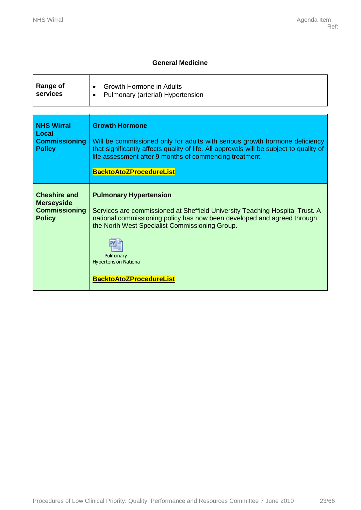## **General Medicine**

<span id="page-22-0"></span>

| <b>Range of</b> | Growth Hormone in Adults          |
|-----------------|-----------------------------------|
| services        | Pulmonary (arterial) Hypertension |

<span id="page-22-2"></span><span id="page-22-1"></span>

| <b>NHS Wirral</b><br>Local<br><b>Commissioning</b><br><b>Policy</b>               | <b>Growth Hormone</b><br>Will be commissioned only for adults with serious growth hormone deficiency<br>that significantly affects quality of life. All approvals will be subject to quality of<br>life assessment after 9 months of commencing treatment.<br><b>BacktoAtoZProcedureList</b>                             |
|-----------------------------------------------------------------------------------|--------------------------------------------------------------------------------------------------------------------------------------------------------------------------------------------------------------------------------------------------------------------------------------------------------------------------|
| <b>Cheshire and</b><br><b>Merseyside</b><br><b>Commissioning</b><br><b>Policy</b> | <b>Pulmonary Hypertension</b><br>Services are commissioned at Sheffield University Teaching Hospital Trust. A<br>national commissioning policy has now been developed and agreed through<br>the North West Specialist Commissioning Group.<br>Pulmonary<br><b>Hypertension Nationa</b><br><b>BacktoAtoZProcedureList</b> |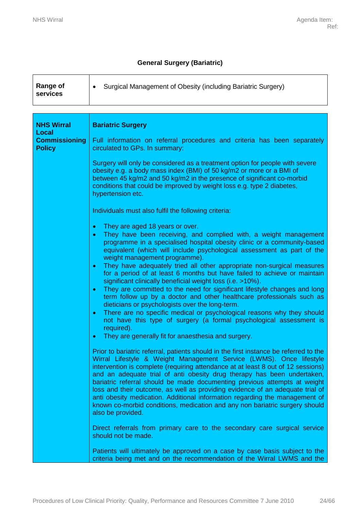<span id="page-23-0"></span>r

## **General Surgery (Bariatric)**

<span id="page-23-1"></span>

| <b>Range of</b><br>services           | Surgical Management of Obesity (including Bariatric Surgery)<br>٠                                                                                                                                                                                                                                                                                                                                                                                                                                                                                                                                                                                                                                                                                                                                                                                                                                                                                                                                          |
|---------------------------------------|------------------------------------------------------------------------------------------------------------------------------------------------------------------------------------------------------------------------------------------------------------------------------------------------------------------------------------------------------------------------------------------------------------------------------------------------------------------------------------------------------------------------------------------------------------------------------------------------------------------------------------------------------------------------------------------------------------------------------------------------------------------------------------------------------------------------------------------------------------------------------------------------------------------------------------------------------------------------------------------------------------|
|                                       |                                                                                                                                                                                                                                                                                                                                                                                                                                                                                                                                                                                                                                                                                                                                                                                                                                                                                                                                                                                                            |
| <b>NHS Wirral</b><br><b>Local</b>     | <b>Bariatric Surgery</b>                                                                                                                                                                                                                                                                                                                                                                                                                                                                                                                                                                                                                                                                                                                                                                                                                                                                                                                                                                                   |
| <b>Commissioning</b><br><b>Policy</b> | Full information on referral procedures and criteria has been separately<br>circulated to GPs. In summary:                                                                                                                                                                                                                                                                                                                                                                                                                                                                                                                                                                                                                                                                                                                                                                                                                                                                                                 |
|                                       | Surgery will only be considered as a treatment option for people with severe<br>obesity e.g. a body mass index (BMI) of 50 kg/m2 or more or a BMI of<br>between 45 kg/m2 and 50 kg/m2 in the presence of significant co-morbid<br>conditions that could be improved by weight loss e.g. type 2 diabetes,<br>hypertension etc.                                                                                                                                                                                                                                                                                                                                                                                                                                                                                                                                                                                                                                                                              |
|                                       | Individuals must also fulfil the following criteria:                                                                                                                                                                                                                                                                                                                                                                                                                                                                                                                                                                                                                                                                                                                                                                                                                                                                                                                                                       |
|                                       | They are aged 18 years or over.<br>٠<br>They have been receiving, and complied with, a weight management<br>$\bullet$<br>programme in a specialised hospital obesity clinic or a community-based<br>equivalent (which will include psychological assessment as part of the<br>weight management programme).<br>They have adequately tried all other appropriate non-surgical measures<br>$\bullet$<br>for a period of at least 6 months but have failed to achieve or maintain<br>significant clinically beneficial weight loss (i.e. >10%).<br>They are committed to the need for significant lifestyle changes and long<br>$\bullet$<br>term follow up by a doctor and other healthcare professionals such as<br>dieticians or psychologists over the long-term.<br>There are no specific medical or psychological reasons why they should<br>$\bullet$<br>not have this type of surgery (a formal psychological assessment is<br>required).<br>They are generally fit for anaesthesia and surgery.<br>٠ |
|                                       | Prior to bariatric referral, patients should in the first instance be referred to the<br>Wirral Lifestyle & Weight Management Service (LWMS). Once lifestyle<br>intervention is complete (requiring attendance at at least 8 out of 12 sessions)<br>and an adequate trial of anti obesity drug therapy has been undertaken,<br>bariatric referral should be made documenting previous attempts at weight<br>loss and their outcome, as well as providing evidence of an adequate trial of<br>anti obesity medication. Additional information regarding the management of<br>known co-morbid conditions, medication and any non bariatric surgery should<br>also be provided.<br>Direct referrals from primary care to the secondary care surgical service<br>should not be made.<br>Patients will ultimately be approved on a case by case basis subject to the<br>criteria being met and on the recommendation of the Wirral LWMS and the                                                                 |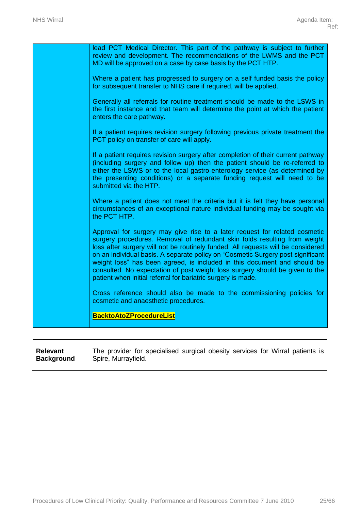| lead PCT Medical Director. This part of the pathway is subject to further<br>review and development. The recommendations of the LWMS and the PCT<br>MD will be approved on a case by case basis by the PCT HTP.                                                                                                                                                                                                                                                                                                                                            |
|------------------------------------------------------------------------------------------------------------------------------------------------------------------------------------------------------------------------------------------------------------------------------------------------------------------------------------------------------------------------------------------------------------------------------------------------------------------------------------------------------------------------------------------------------------|
| Where a patient has progressed to surgery on a self funded basis the policy<br>for subsequent transfer to NHS care if required, will be applied.                                                                                                                                                                                                                                                                                                                                                                                                           |
| Generally all referrals for routine treatment should be made to the LSWS in<br>the first instance and that team will determine the point at which the patient<br>enters the care pathway.                                                                                                                                                                                                                                                                                                                                                                  |
| If a patient requires revision surgery following previous private treatment the<br>PCT policy on transfer of care will apply.                                                                                                                                                                                                                                                                                                                                                                                                                              |
| If a patient requires revision surgery after completion of their current pathway<br>(including surgery and follow up) then the patient should be re-referred to<br>either the LSWS or to the local gastro-enterology service (as determined by<br>the presenting conditions) or a separate funding request will need to be<br>submitted via the HTP.                                                                                                                                                                                                       |
| Where a patient does not meet the criteria but it is felt they have personal<br>circumstances of an exceptional nature individual funding may be sought via<br>the PCT HTP.                                                                                                                                                                                                                                                                                                                                                                                |
| Approval for surgery may give rise to a later request for related cosmetic<br>surgery procedures. Removal of redundant skin folds resulting from weight<br>loss after surgery will not be routinely funded. All requests will be considered<br>on an individual basis. A separate policy on "Cosmetic Surgery post significant<br>weight loss" has been agreed, is included in this document and should be<br>consulted. No expectation of post weight loss surgery should be given to the<br>patient when initial referral for bariatric surgery is made. |
| Cross reference should also be made to the commissioning policies for<br>cosmetic and anaesthetic procedures.                                                                                                                                                                                                                                                                                                                                                                                                                                              |
| <b>BacktoAtoZProcedureList</b>                                                                                                                                                                                                                                                                                                                                                                                                                                                                                                                             |

**Relevant Background** The provider for specialised surgical obesity services for Wirral patients is Spire, Murrayfield.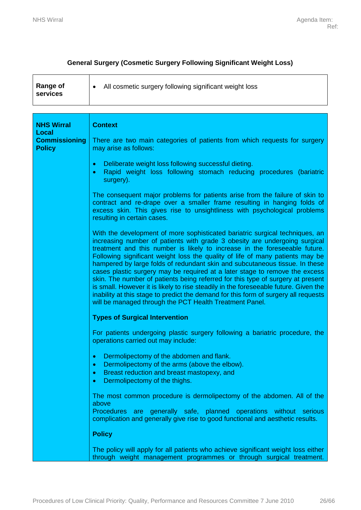<span id="page-25-0"></span> $\mathbf{r}$ 

## **General Surgery (Cosmetic Surgery Following Significant Weight Loss)**

| Range of<br>services | All cosmetic surgery following significant weight loss |
|----------------------|--------------------------------------------------------|
|----------------------|--------------------------------------------------------|

<span id="page-25-1"></span>

| <b>NHS Wirral</b><br>Local            | <b>Context</b>                                                                                                                                                                                                                                                                                                                                                                                                                                                                                                                                                                                                                                                                                                                                                                                                       |
|---------------------------------------|----------------------------------------------------------------------------------------------------------------------------------------------------------------------------------------------------------------------------------------------------------------------------------------------------------------------------------------------------------------------------------------------------------------------------------------------------------------------------------------------------------------------------------------------------------------------------------------------------------------------------------------------------------------------------------------------------------------------------------------------------------------------------------------------------------------------|
| <b>Commissioning</b><br><b>Policy</b> | There are two main categories of patients from which requests for surgery<br>may arise as follows:                                                                                                                                                                                                                                                                                                                                                                                                                                                                                                                                                                                                                                                                                                                   |
|                                       | Deliberate weight loss following successful dieting.<br>۰<br>Rapid weight loss following stomach reducing procedures (bariatric<br>$\bullet$<br>surgery).                                                                                                                                                                                                                                                                                                                                                                                                                                                                                                                                                                                                                                                            |
|                                       | The consequent major problems for patients arise from the failure of skin to<br>contract and re-drape over a smaller frame resulting in hanging folds of<br>excess skin. This gives rise to unsightliness with psychological problems<br>resulting in certain cases.                                                                                                                                                                                                                                                                                                                                                                                                                                                                                                                                                 |
|                                       | With the development of more sophisticated bariatric surgical techniques, an<br>increasing number of patients with grade 3 obesity are undergoing surgical<br>treatment and this number is likely to increase in the foreseeable future.<br>Following significant weight loss the quality of life of many patients may be<br>hampered by large folds of redundant skin and subcutaneous tissue. In these<br>cases plastic surgery may be required at a later stage to remove the excess<br>skin. The number of patients being referred for this type of surgery at present<br>is small. However it is likely to rise steadily in the foreseeable future. Given the<br>inability at this stage to predict the demand for this form of surgery all requests<br>will be managed through the PCT Health Treatment Panel. |
|                                       | <b>Types of Surgical Intervention</b>                                                                                                                                                                                                                                                                                                                                                                                                                                                                                                                                                                                                                                                                                                                                                                                |
|                                       | For patients undergoing plastic surgery following a bariatric procedure, the<br>operations carried out may include:                                                                                                                                                                                                                                                                                                                                                                                                                                                                                                                                                                                                                                                                                                  |
|                                       | Dermolipectomy of the abdomen and flank.<br>$\bullet$<br>Dermolipectomy of the arms (above the elbow).<br>$\bullet$<br>Breast reduction and breast mastopexy, and<br>٠<br>Dermolipectomy of the thighs.<br>$\bullet$                                                                                                                                                                                                                                                                                                                                                                                                                                                                                                                                                                                                 |
|                                       | The most common procedure is dermolipectomy of the abdomen. All of the<br>above<br>Procedures are generally safe, planned operations without serious<br>complication and generally give rise to good functional and aesthetic results.                                                                                                                                                                                                                                                                                                                                                                                                                                                                                                                                                                               |
|                                       | <b>Policy</b>                                                                                                                                                                                                                                                                                                                                                                                                                                                                                                                                                                                                                                                                                                                                                                                                        |
|                                       | The policy will apply for all patients who achieve significant weight loss either<br>through weight management programmes or through surgical treatment.                                                                                                                                                                                                                                                                                                                                                                                                                                                                                                                                                                                                                                                             |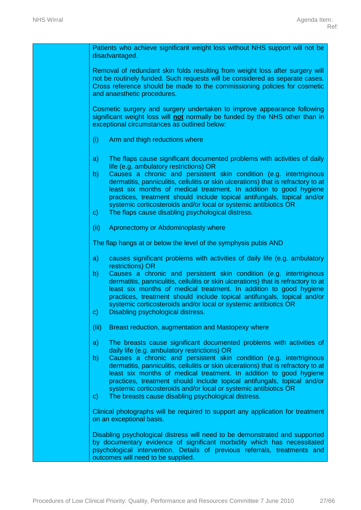| Patients who achieve significant weight loss without NHS support will not be<br>disadvantaged.                                                                                                                                                                                                                                                                                                                                                                                                                                                                                  |
|---------------------------------------------------------------------------------------------------------------------------------------------------------------------------------------------------------------------------------------------------------------------------------------------------------------------------------------------------------------------------------------------------------------------------------------------------------------------------------------------------------------------------------------------------------------------------------|
| Removal of redundant skin folds resulting from weight loss after surgery will<br>not be routinely funded. Such requests will be considered as separate cases.<br>Cross reference should be made to the commissioning policies for cosmetic<br>and anaesthetic procedures.                                                                                                                                                                                                                                                                                                       |
| Cosmetic surgery and surgery undertaken to improve appearance following<br>significant weight loss will not normally be funded by the NHS other than in<br>exceptional circumstances as outlined below:                                                                                                                                                                                                                                                                                                                                                                         |
| Arm and thigh reductions where<br>(i)                                                                                                                                                                                                                                                                                                                                                                                                                                                                                                                                           |
| The flaps cause significant documented problems with activities of daily<br>a)<br>life (e.g. ambulatory restrictions) OR<br>Causes a chronic and persistent skin condition (e.g. intertriginous<br>b)<br>dermatitis, panniculitis, cellulitis or skin ulcerations) that is refractory to at<br>least six months of medical treatment. In addition to good hygiene<br>practices, treatment should include topical antifungals, topical and/or<br>systemic corticosteroids and/or local or systemic antibiotics OR<br>The flaps cause disabling psychological distress.<br>C)     |
| (ii)<br>Apronectomy or Abdominoplasty where                                                                                                                                                                                                                                                                                                                                                                                                                                                                                                                                     |
| The flap hangs at or below the level of the symphysis pubis AND                                                                                                                                                                                                                                                                                                                                                                                                                                                                                                                 |
| causes significant problems with activities of daily life (e.g. ambulatory<br>a)<br>restrictions) OR<br>Causes a chronic and persistent skin condition (e.g. intertriginous<br>b)<br>dermatitis, panniculitis, cellulitis or skin ulcerations) that is refractory to at<br>least six months of medical treatment. In addition to good hygiene<br>practices, treatment should include topical antifungals, topical and/or<br>systemic corticosteroids and/or local or systemic antibiotics OR<br>C)<br>Disabling psychological distress.                                         |
| (iii)<br>Breast reduction, augmentation and Mastopexy where                                                                                                                                                                                                                                                                                                                                                                                                                                                                                                                     |
| The breasts cause significant documented problems with activities of<br>a)<br>daily life (e.g. ambulatory restrictions) OR<br>Causes a chronic and persistent skin condition (e.g. intertriginous<br>b)<br>dermatitis, panniculitis, cellulitis or skin ulcerations) that is refractory to at<br>least six months of medical treatment. In addition to good hygiene<br>practices, treatment should include topical antifungals, topical and/or<br>systemic corticosteroids and/or local or systemic antibiotics OR<br>The breasts cause disabling psychological distress.<br>C) |
| Clinical photographs will be required to support any application for treatment<br>on an exceptional basis.                                                                                                                                                                                                                                                                                                                                                                                                                                                                      |
| Disabling psychological distress will need to be demonstrated and supported<br>by documentary evidence of significant morbidity which has necessitated<br>psychological intervention. Details of previous referrals, treatments and<br>outcomes will need to be supplied.                                                                                                                                                                                                                                                                                                       |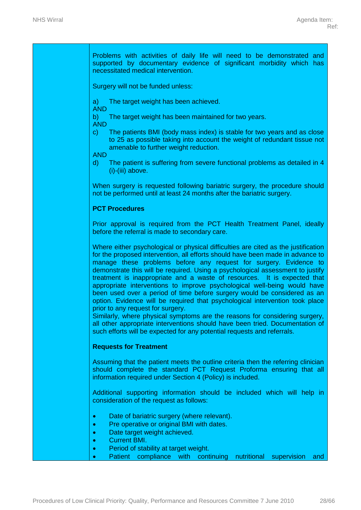Problems with activities of daily life will need to be demonstrated and supported by documentary evidence of significant morbidity which has necessitated medical intervention. Surgery will not be funded unless: a) The target weight has been achieved. AND b) The target weight has been maintained for two years. AND c) The patients BMI (body mass index) is stable for two years and as close to 25 as possible taking into account the weight of redundant tissue not amenable to further weight reduction. AND d) The patient is suffering from severe functional problems as detailed in 4 (i)-(iii) above. When surgery is requested following bariatric surgery, the procedure should not be performed until at least 24 months after the bariatric surgery. **PCT Procedures**  Prior approval is required from the PCT Health Treatment Panel, ideally before the referral is made to secondary care. Where either psychological or physical difficulties are cited as the justification for the proposed intervention, all efforts should have been made in advance to manage these problems before any request for surgery. Evidence to demonstrate this will be required. Using a psychological assessment to justify treatment is inappropriate and a waste of resources. It is expected that appropriate interventions to improve psychological well-being would have been used over a period of time before surgery would be considered as an option. Evidence will be required that psychological intervention took place prior to any request for surgery. Similarly, where physical symptoms are the reasons for considering surgery, all other appropriate interventions should have been tried. Documentation of such efforts will be expected for any potential requests and referrals. **Requests for Treatment** Assuming that the patient meets the outline criteria then the referring clinician should complete the standard PCT Request Proforma ensuring that all information required under Section 4 (Policy) is included. Additional supporting information should be included which will help in consideration of the request as follows: • Date of bariatric surgery (where relevant). • Pre operative or original BMI with dates. • Date target weight achieved. Current BMI. • Period of stability at target weight. Patient compliance with continuing nutritional supervision and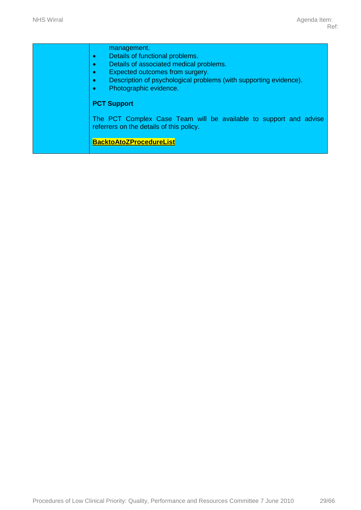| management.<br>Details of functional problems.<br>$\bullet$<br>Details of associated medical problems.<br>$\bullet$<br>Expected outcomes from surgery.<br>$\bullet$<br>Description of psychological problems (with supporting evidence).<br>$\bullet$<br>Photographic evidence.<br>$\bullet$ |
|----------------------------------------------------------------------------------------------------------------------------------------------------------------------------------------------------------------------------------------------------------------------------------------------|
| <b>PCT Support</b>                                                                                                                                                                                                                                                                           |
| The PCT Complex Case Team will be available to support and advise<br>referrers on the details of this policy.                                                                                                                                                                                |
| <b>BacktoAtoZProcedureList</b>                                                                                                                                                                                                                                                               |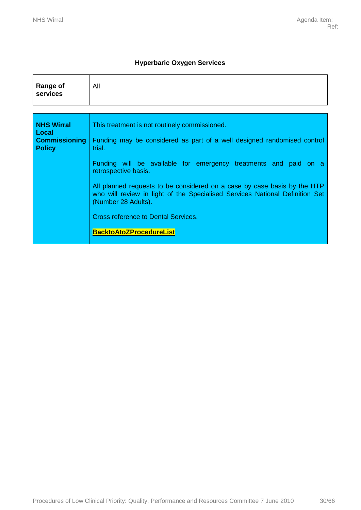# **Hyperbaric Oxygen Services**

<span id="page-29-1"></span><span id="page-29-0"></span>

| Range of<br>services                                                | All                                                                                                                                                                                                                                                      |
|---------------------------------------------------------------------|----------------------------------------------------------------------------------------------------------------------------------------------------------------------------------------------------------------------------------------------------------|
|                                                                     |                                                                                                                                                                                                                                                          |
| <b>NHS Wirral</b><br>Local<br><b>Commissioning</b><br><b>Policy</b> | This treatment is not routinely commissioned.<br>Funding may be considered as part of a well designed randomised control<br>trial.<br>Funding will be available for emergency treatments and paid on a<br>retrospective basis.                           |
|                                                                     | All planned requests to be considered on a case by case basis by the HTP<br>who will review in light of the Specialised Services National Definition Set<br>(Number 28 Adults).<br>Cross reference to Dental Services.<br><b>BacktoAtoZProcedureList</b> |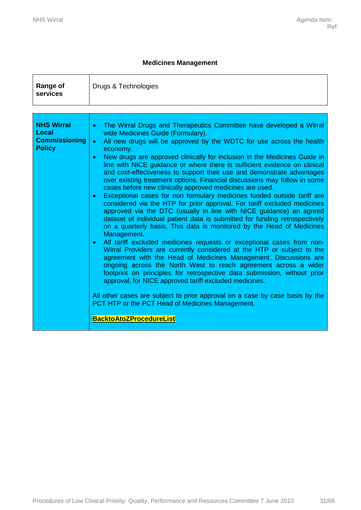## <span id="page-30-1"></span>**Medicines Management**

<span id="page-30-0"></span>

| Range of<br>services                                                       | Drugs & Technologies                                                                                                                                                                                                                                                                                                                                                                                                                                                                                                                                                                                                                                                                                                                                                                                                                                                                                                                                                                                                                                                                                                                                                                                                                                                                                                                                                                                                                                                                                                                                                                                                                                  |
|----------------------------------------------------------------------------|-------------------------------------------------------------------------------------------------------------------------------------------------------------------------------------------------------------------------------------------------------------------------------------------------------------------------------------------------------------------------------------------------------------------------------------------------------------------------------------------------------------------------------------------------------------------------------------------------------------------------------------------------------------------------------------------------------------------------------------------------------------------------------------------------------------------------------------------------------------------------------------------------------------------------------------------------------------------------------------------------------------------------------------------------------------------------------------------------------------------------------------------------------------------------------------------------------------------------------------------------------------------------------------------------------------------------------------------------------------------------------------------------------------------------------------------------------------------------------------------------------------------------------------------------------------------------------------------------------------------------------------------------------|
|                                                                            |                                                                                                                                                                                                                                                                                                                                                                                                                                                                                                                                                                                                                                                                                                                                                                                                                                                                                                                                                                                                                                                                                                                                                                                                                                                                                                                                                                                                                                                                                                                                                                                                                                                       |
| <b>NHS Wirral</b><br><b>Local</b><br><b>Commissioning</b><br><b>Policy</b> | The Wirral Drugs and Therapeutics Committee have developed a Wirral<br>$\bullet$<br>wide Medicines Guide (Formulary).<br>All new drugs will be approved by the WDTC for use across the health<br>$\bullet$<br>economy.<br>New drugs are approved clinically for inclusion in the Medicines Guide in<br>$\bullet$<br>line with NICE guidance or where there is sufficient evidence on clinical<br>and cost-effectiveness to support their use and demonstrate advantages<br>over existing treatment options. Financial discussions may follow in some<br>cases before new clinically approved medicines are used.<br>Exceptional cases for non formulary medicines funded outside tariff are<br>$\bullet$<br>considered via the HTP for prior approval. For tariff excluded medicines<br>approved via the DTC (usually in line with NICE guidance) an agreed<br>dataset of individual patient data is submitted for funding retrospectively<br>on a quarterly basis. This data is monitored by the Head of Medicines<br>Management.<br>All tariff excluded medicines requests or exceptional cases from non-<br>$\bullet$<br>Wirral Providers are currently considered at the HTP or subject to the<br>agreement with the Head of Medicines Management. Discussions are<br>ongoing across the North West to reach agreement across a wider<br>footprint on principles for retrospective data submission, without prior<br>approval, for NICE approved tariff excluded medicines.<br>All other cases are subject to prior approval on a case by case basis by the<br>PCT HTP or the PCT Head of Medicines Management.<br><b>BacktoAtoZProcedureList</b> |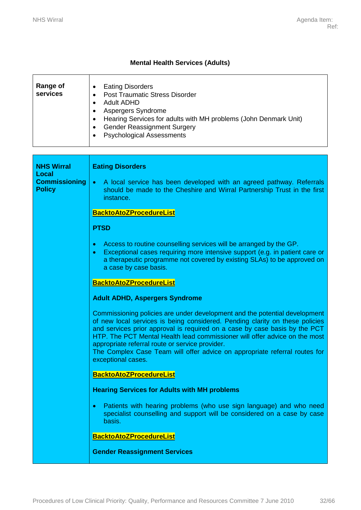## **Mental Health Services (Adults)**

<span id="page-31-0"></span>

| Range of<br>services | <b>Eating Disorders</b><br><b>Post Traumatic Stress Disorder</b> |
|----------------------|------------------------------------------------------------------|
|                      | <b>Adult ADHD</b>                                                |
|                      | Aspergers Syndrome                                               |
|                      | Hearing Services for adults with MH problems (John Denmark Unit) |
|                      | <b>Gender Reassignment Surgery</b><br>$\bullet$                  |
|                      | <b>Psychological Assessments</b>                                 |

<span id="page-31-6"></span><span id="page-31-5"></span><span id="page-31-4"></span><span id="page-31-3"></span><span id="page-31-2"></span><span id="page-31-1"></span>

| <b>NHS Wirral</b>                              | <b>Eating Disorders</b>                                                                                                                                                                                                                                                                                                                                                                                                                                                       |
|------------------------------------------------|-------------------------------------------------------------------------------------------------------------------------------------------------------------------------------------------------------------------------------------------------------------------------------------------------------------------------------------------------------------------------------------------------------------------------------------------------------------------------------|
| Local<br><b>Commissioning</b><br><b>Policy</b> | A local service has been developed with an agreed pathway. Referrals<br>$\bullet$<br>should be made to the Cheshire and Wirral Partnership Trust in the first<br>instance.                                                                                                                                                                                                                                                                                                    |
|                                                | <b>BacktoAtoZProcedureList</b>                                                                                                                                                                                                                                                                                                                                                                                                                                                |
|                                                | <b>PTSD</b>                                                                                                                                                                                                                                                                                                                                                                                                                                                                   |
|                                                | Access to routine counselling services will be arranged by the GP.<br>$\bullet$<br>Exceptional cases requiring more intensive support (e.g. in patient care or<br>$\bullet$<br>a therapeutic programme not covered by existing SLAs) to be approved on<br>a case by case basis.                                                                                                                                                                                               |
|                                                | <b>BacktoAtoZProcedureList</b>                                                                                                                                                                                                                                                                                                                                                                                                                                                |
|                                                | <b>Adult ADHD, Aspergers Syndrome</b>                                                                                                                                                                                                                                                                                                                                                                                                                                         |
|                                                | Commissioning policies are under development and the potential development<br>of new local services is being considered. Pending clarity on these policies<br>and services prior approval is required on a case by case basis by the PCT<br>HTP. The PCT Mental Health lead commissioner will offer advice on the most<br>appropriate referral route or service provider.<br>The Complex Case Team will offer advice on appropriate referral routes for<br>exceptional cases. |
|                                                | <b>BacktoAtoZProcedureList</b>                                                                                                                                                                                                                                                                                                                                                                                                                                                |
|                                                | <b>Hearing Services for Adults with MH problems</b>                                                                                                                                                                                                                                                                                                                                                                                                                           |
|                                                | Patients with hearing problems (who use sign language) and who need<br>$\bullet$<br>specialist counselling and support will be considered on a case by case<br>basis.                                                                                                                                                                                                                                                                                                         |
|                                                | <b>BacktoAtoZProcedureList</b>                                                                                                                                                                                                                                                                                                                                                                                                                                                |
|                                                | <b>Gender Reassignment Services</b>                                                                                                                                                                                                                                                                                                                                                                                                                                           |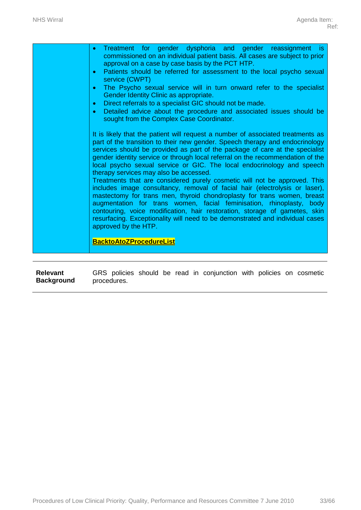| Treatment for gender dysphoria and gender reassignment is<br>$\bullet$<br>commissioned on an individual patient basis. All cases are subject to prior<br>approval on a case by case basis by the PCT HTP.<br>Patients should be referred for assessment to the local psycho sexual<br>$\bullet$<br>service (CWPT)<br>The Psycho sexual service will in turn onward refer to the specialist<br>$\bullet$<br>Gender Identity Clinic as appropriate.<br>Direct referrals to a specialist GIC should not be made.<br>۰<br>Detailed advice about the procedure and associated issues should be<br>$\bullet$<br>sought from the Complex Case Coordinator.                                                                                                                                                                                                                                                                                                                                           |
|-----------------------------------------------------------------------------------------------------------------------------------------------------------------------------------------------------------------------------------------------------------------------------------------------------------------------------------------------------------------------------------------------------------------------------------------------------------------------------------------------------------------------------------------------------------------------------------------------------------------------------------------------------------------------------------------------------------------------------------------------------------------------------------------------------------------------------------------------------------------------------------------------------------------------------------------------------------------------------------------------|
| It is likely that the patient will request a number of associated treatments as<br>part of the transition to their new gender. Speech therapy and endocrinology<br>services should be provided as part of the package of care at the specialist<br>gender identity service or through local referral on the recommendation of the<br>local psycho sexual service or GIC. The local endocrinology and speech<br>therapy services may also be accessed.<br>Treatments that are considered purely cosmetic will not be approved. This<br>includes image consultancy, removal of facial hair (electrolysis or laser),<br>mastectomy for trans men, thyroid chondroplasty for trans women, breast<br>augmentation for trans women, facial feminisation, rhinoplasty, body<br>contouring, voice modification, hair restoration, storage of gametes, skin<br>resurfacing. Exceptionality will need to be demonstrated and individual cases<br>approved by the HTP.<br><b>BacktoAtoZProcedureList</b> |

**Relevant Background** GRS policies should be read in conjunction with policies on cosmetic procedures.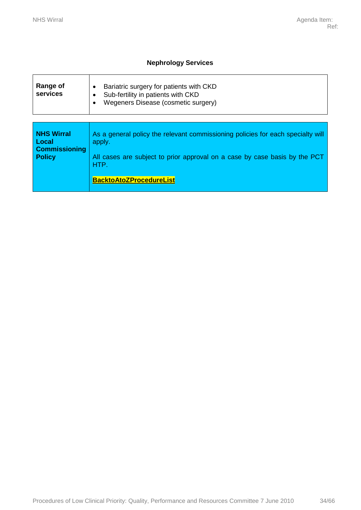# **Nephrology Services**

<span id="page-33-0"></span>

| Range of<br>services | Bariatric surgery for patients with CKD<br>Sub-fertility in patients with CKD<br>Wegeners Disease (cosmetic surgery) |
|----------------------|----------------------------------------------------------------------------------------------------------------------|
|----------------------|----------------------------------------------------------------------------------------------------------------------|

<span id="page-33-1"></span>

| <b>NHS Wirral</b><br>Local<br><b>Commissioning</b> | As a general policy the relevant commissioning policies for each specialty will<br>apply. |
|----------------------------------------------------|-------------------------------------------------------------------------------------------|
| <b>Policy</b>                                      | All cases are subject to prior approval on a case by case basis by the PCT<br>HTP.        |
|                                                    | <b>BacktoAtoZProcedureList</b>                                                            |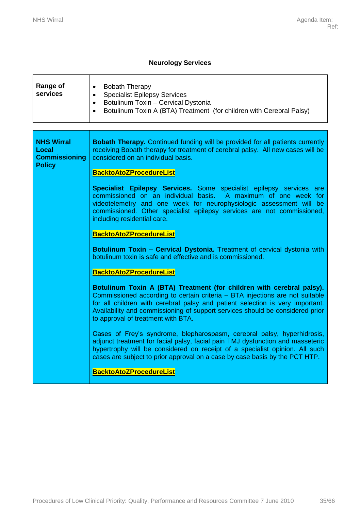# **Neurology Services**

<span id="page-34-0"></span>

| <b>Range of</b><br>services | <b>Bobath Therapy</b><br><b>Specialist Epilepsy Services</b><br>Botulinum Toxin - Cervical Dystonia<br>Botulinum Toxin A (BTA) Treatment (for children with Cerebral Palsy) |
|-----------------------------|-----------------------------------------------------------------------------------------------------------------------------------------------------------------------------|
|                             |                                                                                                                                                                             |

<span id="page-34-4"></span><span id="page-34-3"></span><span id="page-34-2"></span><span id="page-34-1"></span>

| <b>NHS Wirral</b><br>Local<br><b>Commissioning</b><br><b>Policy</b> | <b>Bobath Therapy.</b> Continued funding will be provided for all patients currently<br>receiving Bobath therapy for treatment of cerebral palsy. All new cases will be<br>considered on an individual basis.<br><b>BacktoAtoZProcedureList</b>                                                                                                               |
|---------------------------------------------------------------------|---------------------------------------------------------------------------------------------------------------------------------------------------------------------------------------------------------------------------------------------------------------------------------------------------------------------------------------------------------------|
|                                                                     | Specialist Epilepsy Services. Some specialist epilepsy services are<br>commissioned on an individual basis. A maximum of one week for<br>videotelemetry and one week for neurophysiologic assessment will be<br>commissioned. Other specialist epilepsy services are not commissioned,<br>including residential care.                                         |
|                                                                     | <b>BacktoAtoZProcedureList</b>                                                                                                                                                                                                                                                                                                                                |
|                                                                     | Botulinum Toxin - Cervical Dystonia. Treatment of cervical dystonia with<br>botulinum toxin is safe and effective and is commissioned.                                                                                                                                                                                                                        |
|                                                                     | <b>BacktoAtoZProcedureList</b>                                                                                                                                                                                                                                                                                                                                |
|                                                                     | Botulinum Toxin A (BTA) Treatment (for children with cerebral palsy).<br>Commissioned according to certain criteria - BTA injections are not suitable<br>for all children with cerebral palsy and patient selection is very important.<br>Availability and commissioning of support services should be considered prior<br>to approval of treatment with BTA. |
|                                                                     | Cases of Frey's syndrome, blepharospasm, cerebral palsy, hyperhidrosis,<br>adjunct treatment for facial palsy, facial pain TMJ dysfunction and masseteric<br>hypertrophy will be considered on receipt of a specialist opinion. All such<br>cases are subject to prior approval on a case by case basis by the PCT HTP.                                       |
|                                                                     | <b>BacktoAtoZProcedureList</b>                                                                                                                                                                                                                                                                                                                                |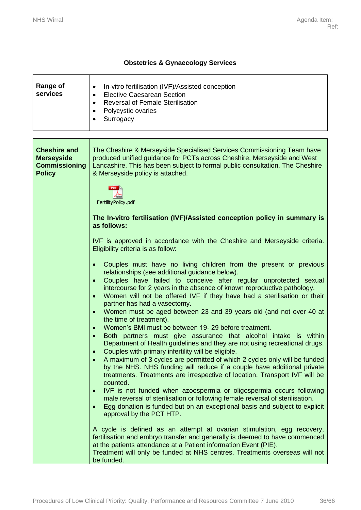# **Obstetrics & Gynaecology Services**

<span id="page-35-0"></span>

| Range of<br>services | In-vitro fertilisation (IVF)/Assisted conception<br><b>Elective Caesarean Section</b><br><b>Reversal of Female Sterilisation</b><br>Polycystic ovaries<br>Surrogacy |
|----------------------|---------------------------------------------------------------------------------------------------------------------------------------------------------------------|
|                      |                                                                                                                                                                     |

<span id="page-35-1"></span>

| <b>Cheshire and</b><br><b>Merseyside</b><br><b>Commissioning</b><br><b>Policy</b> | The Cheshire & Merseyside Specialised Services Commissioning Team have<br>produced unified guidance for PCTs across Cheshire, Merseyside and West<br>Lancashire. This has been subject to formal public consultation. The Cheshire<br>& Merseyside policy is attached.                                                |
|-----------------------------------------------------------------------------------|-----------------------------------------------------------------------------------------------------------------------------------------------------------------------------------------------------------------------------------------------------------------------------------------------------------------------|
|                                                                                   | Fertility Policy.pdf                                                                                                                                                                                                                                                                                                  |
|                                                                                   | The In-vitro fertilisation (IVF)/Assisted conception policy in summary is<br>as follows:                                                                                                                                                                                                                              |
|                                                                                   | IVF is approved in accordance with the Cheshire and Merseyside criteria.<br>Eligibility criteria is as follow:                                                                                                                                                                                                        |
|                                                                                   | Couples must have no living children from the present or previous<br>$\bullet$<br>relationships (see additional guidance below).                                                                                                                                                                                      |
|                                                                                   | Couples have failed to conceive after regular unprotected sexual<br>$\bullet$<br>intercourse for 2 years in the absence of known reproductive pathology.<br>Women will not be offered IVF if they have had a sterilisation or their<br>$\bullet$<br>partner has had a vasectomy.                                      |
|                                                                                   | Women must be aged between 23 and 39 years old (and not over 40 at<br>$\bullet$<br>the time of treatment).                                                                                                                                                                                                            |
|                                                                                   | Women's BMI must be between 19-29 before treatment.<br>$\bullet$<br>Both partners must give assurance that alcohol intake is within<br>$\bullet$<br>Department of Health guidelines and they are not using recreational drugs.<br>Couples with primary infertility will be eligible.<br>$\bullet$                     |
|                                                                                   | A maximum of 3 cycles are permitted of which 2 cycles only will be funded<br>$\bullet$<br>by the NHS. NHS funding will reduce if a couple have additional private<br>treatments. Treatments are irrespective of location. Transport IVF will be<br>counted.                                                           |
|                                                                                   | IVF is not funded when azoospermia or oligospermia occurs following<br>male reversal of sterilisation or following female reversal of sterilisation.<br>Egg donation is funded but on an exceptional basis and subject to explicit<br>approval by the PCT HTP.                                                        |
|                                                                                   | A cycle is defined as an attempt at ovarian stimulation, egg recovery,<br>fertilisation and embryo transfer and generally is deemed to have commenced<br>at the patients attendance at a Patient information Event (PIE).<br>Treatment will only be funded at NHS centres. Treatments overseas will not<br>be funded. |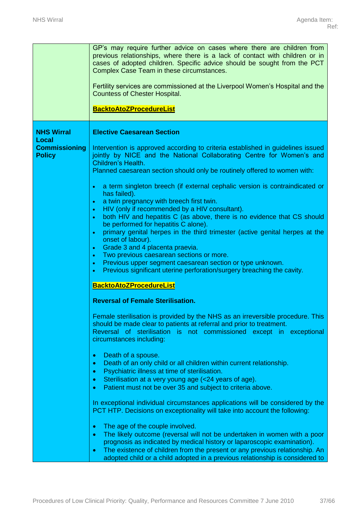<span id="page-36-1"></span><span id="page-36-0"></span>

|                                                | GP's may require further advice on cases where there are children from<br>previous relationships, where there is a lack of contact with children or in<br>cases of adopted children. Specific advice should be sought from the PCT<br>Complex Case Team in these circumstances.<br>Fertility services are commissioned at the Liverpool Women's Hospital and the<br><b>Countess of Chester Hospital.</b><br><b>BacktoAtoZProcedureList</b>                                                                                                                                                                                                                                                                                                                  |
|------------------------------------------------|-------------------------------------------------------------------------------------------------------------------------------------------------------------------------------------------------------------------------------------------------------------------------------------------------------------------------------------------------------------------------------------------------------------------------------------------------------------------------------------------------------------------------------------------------------------------------------------------------------------------------------------------------------------------------------------------------------------------------------------------------------------|
| <b>NHS Wirral</b>                              | <b>Elective Caesarean Section</b>                                                                                                                                                                                                                                                                                                                                                                                                                                                                                                                                                                                                                                                                                                                           |
| Local<br><b>Commissioning</b><br><b>Policy</b> | Intervention is approved according to criteria established in guidelines issued<br>jointly by NICE and the National Collaborating Centre for Women's and<br>Children's Health.<br>Planned caesarean section should only be routinely offered to women with:                                                                                                                                                                                                                                                                                                                                                                                                                                                                                                 |
|                                                | a term singleton breech (if external cephalic version is contraindicated or<br>$\bullet$<br>has failed).<br>a twin pregnancy with breech first twin.<br>$\bullet$<br>HIV (only if recommended by a HIV consultant).<br>$\bullet$<br>both HIV and hepatitis C (as above, there is no evidence that CS should<br>$\bullet$<br>be performed for hepatitis C alone).<br>primary genital herpes in the third trimester (active genital herpes at the<br>$\bullet$<br>onset of labour).<br>Grade 3 and 4 placenta praevia.<br>$\bullet$<br>Two previous caesarean sections or more.<br>$\bullet$<br>Previous upper segment caesarean section or type unknown.<br>$\bullet$<br>Previous significant uterine perforation/surgery breaching the cavity.<br>$\bullet$ |
|                                                | <b>BacktoAtoZProcedureList</b>                                                                                                                                                                                                                                                                                                                                                                                                                                                                                                                                                                                                                                                                                                                              |
|                                                | <b>Reversal of Female Sterilisation.</b>                                                                                                                                                                                                                                                                                                                                                                                                                                                                                                                                                                                                                                                                                                                    |
|                                                | Female sterilisation is provided by the NHS as an irreversible procedure. This<br>should be made clear to patients at referral and prior to treatment.<br>Reversal of sterilisation is not commissioned except in exceptional<br>circumstances including:                                                                                                                                                                                                                                                                                                                                                                                                                                                                                                   |
|                                                | Death of a spouse.<br>٠<br>Death of an only child or all children within current relationship.<br>٠<br>Psychiatric illness at time of sterilisation.<br>٠<br>Sterilisation at a very young age (<24 years of age).<br>٠<br>Patient must not be over 35 and subject to criteria above.<br>۰                                                                                                                                                                                                                                                                                                                                                                                                                                                                  |
|                                                | In exceptional individual circumstances applications will be considered by the<br>PCT HTP. Decisions on exceptionality will take into account the following:                                                                                                                                                                                                                                                                                                                                                                                                                                                                                                                                                                                                |
|                                                | The age of the couple involved.<br>۰<br>The likely outcome (reversal will not be undertaken in women with a poor<br>۰<br>prognosis as indicated by medical history or laparoscopic examination).<br>The existence of children from the present or any previous relationship. An<br>٠<br>adopted child or a child adopted in a previous relationship is considered to                                                                                                                                                                                                                                                                                                                                                                                        |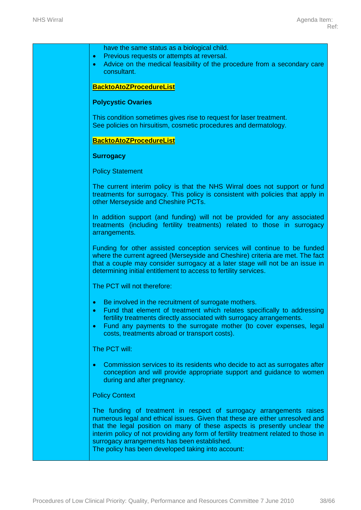<span id="page-37-1"></span><span id="page-37-0"></span>

| have the same status as a biological child.                                                                                                                                                                                                                                                                                                                                                                                     |
|---------------------------------------------------------------------------------------------------------------------------------------------------------------------------------------------------------------------------------------------------------------------------------------------------------------------------------------------------------------------------------------------------------------------------------|
| Previous requests or attempts at reversal.<br>$\bullet$<br>Advice on the medical feasibility of the procedure from a secondary care<br>$\bullet$<br>consultant.                                                                                                                                                                                                                                                                 |
| <b>BacktoAtoZProcedureList</b>                                                                                                                                                                                                                                                                                                                                                                                                  |
| <b>Polycystic Ovaries</b>                                                                                                                                                                                                                                                                                                                                                                                                       |
| This condition sometimes gives rise to request for laser treatment.<br>See policies on hirsuitism, cosmetic procedures and dermatology.                                                                                                                                                                                                                                                                                         |
| <b>BacktoAtoZProcedureList</b>                                                                                                                                                                                                                                                                                                                                                                                                  |
| <b>Surrogacy</b>                                                                                                                                                                                                                                                                                                                                                                                                                |
| <b>Policy Statement</b>                                                                                                                                                                                                                                                                                                                                                                                                         |
| The current interim policy is that the NHS Wirral does not support or fund<br>treatments for surrogacy. This policy is consistent with policies that apply in<br>other Merseyside and Cheshire PCTs.                                                                                                                                                                                                                            |
| In addition support (and funding) will not be provided for any associated<br>treatments (including fertility treatments) related to those in surrogacy<br>arrangements.                                                                                                                                                                                                                                                         |
| Funding for other assisted conception services will continue to be funded<br>where the current agreed (Merseyside and Cheshire) criteria are met. The fact<br>that a couple may consider surrogacy at a later stage will not be an issue in<br>determining initial entitlement to access to fertility services.                                                                                                                 |
| The PCT will not therefore:                                                                                                                                                                                                                                                                                                                                                                                                     |
| Be involved in the recruitment of surrogate mothers.<br>۰<br>Fund that element of treatment which relates specifically to addressing<br>fertility treatments directly associated with surrogacy arrangements.<br>Fund any payments to the surrogate mother (to cover expenses, legal<br>$\bullet$<br>costs, treatments abroad or transport costs).                                                                              |
| The PCT will:                                                                                                                                                                                                                                                                                                                                                                                                                   |
| Commission services to its residents who decide to act as surrogates after<br>$\bullet$<br>conception and will provide appropriate support and guidance to women<br>during and after pregnancy.                                                                                                                                                                                                                                 |
| <b>Policy Context</b>                                                                                                                                                                                                                                                                                                                                                                                                           |
| The funding of treatment in respect of surrogacy arrangements raises<br>numerous legal and ethical issues. Given that these are either unresolved and<br>that the legal position on many of these aspects is presently unclear the<br>interim policy of not providing any form of fertility treatment related to those in<br>surrogacy arrangements has been established.<br>The policy has been developed taking into account: |
|                                                                                                                                                                                                                                                                                                                                                                                                                                 |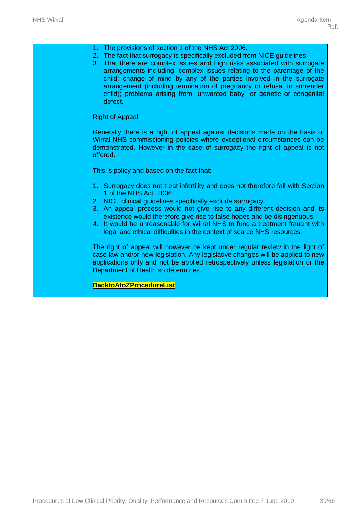| 1. The provisions of section 1 of the NHS Act 2006.<br>2. The fact that surrogacy is specifically excluded from NICE guidelines.<br>3. That there are complex issues and high risks associated with surrogate<br>arrangements including: complex issues relating to the parentage of the<br>child; change of mind by any of the parties involved in the surrogate<br>arrangement (including termination of pregnancy or refusal to surrender<br>child); problems arising from "unwanted baby" or genetic or congenital<br>defect. |
|-----------------------------------------------------------------------------------------------------------------------------------------------------------------------------------------------------------------------------------------------------------------------------------------------------------------------------------------------------------------------------------------------------------------------------------------------------------------------------------------------------------------------------------|
| <b>Right of Appeal</b>                                                                                                                                                                                                                                                                                                                                                                                                                                                                                                            |
| Generally there is a right of appeal against decisions made on the basis of<br>Wirral NHS commissioning policies where exceptional circumstances can be<br>demonstrated. However in the case of surrogacy the right of appeal is not<br>offered.                                                                                                                                                                                                                                                                                  |
| This is policy and based on the fact that:                                                                                                                                                                                                                                                                                                                                                                                                                                                                                        |
| 1. Surrogacy does not treat infertility and does not therefore fall with Section<br>1 of the NHS Act. 2006.<br>2. NICE clinical guidelines specifically exclude surrogacy.<br>3. An appeal process would not give rise to any different decision and its<br>existence would therefore give rise to false hopes and be disingenuous.<br>It would be unreasonable for Wirral NHS to fund a treatment fraught with<br>$4_{-}$<br>legal and ethical difficulties in the context of scarce NHS resources.                              |
| The right of appeal will however be kept under regular review in the light of<br>case law and/or new legislation. Any legislative changes will be applied to new<br>applications only and not be applied retrospectively unless legislation or the<br>Department of Health so determines.                                                                                                                                                                                                                                         |
| <b>BacktoAtoZProcedureList</b>                                                                                                                                                                                                                                                                                                                                                                                                                                                                                                    |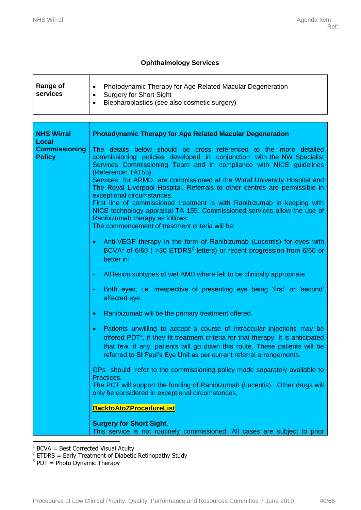## **Ophthalmology Services**

<span id="page-39-0"></span>

| Range of<br>services | • Photodynamic Therapy for Age Related Macular Degeneration<br>• Surgery for Short Sight<br>Blepharoplasties (see also cosmetic surgery) |
|----------------------|------------------------------------------------------------------------------------------------------------------------------------------|
|----------------------|------------------------------------------------------------------------------------------------------------------------------------------|

<span id="page-39-1"></span>

| <b>NHS Wirral</b><br>Local            | <b>Photodynamic Therapy for Age Related Macular Degeneration</b>                                                                                                                                                                                                                                                                                                                                                                                                                                                                                                                          |
|---------------------------------------|-------------------------------------------------------------------------------------------------------------------------------------------------------------------------------------------------------------------------------------------------------------------------------------------------------------------------------------------------------------------------------------------------------------------------------------------------------------------------------------------------------------------------------------------------------------------------------------------|
| <b>Commissioning</b><br><b>Policy</b> | The details below should be cross referenced to the more detailed<br>commissioning policies developed in conjunction with the NW Specialist<br>Services Commissioning Team and in compliance with NICE guidelines<br>(Reference: TA155).<br>Services for ARMD are commissioned at the Wirral University Hospital and<br>The Royal Liverpool Hospital. Referrals to other centres are permissible in<br>exceptional circumstances.<br>First line of commissioned treatment is with Ranibizumab in keeping with<br>NICE technology appraisal TA 155. Commissioned services allow the use of |
|                                       | Ranibizumab therapy as follows:<br>The commencement of treatment criteria will be:                                                                                                                                                                                                                                                                                                                                                                                                                                                                                                        |
|                                       | Anti-VEGF therapy in the form of Ranibizumab (Lucentis) for eyes with<br>$\bullet$<br>BCVA <sup>1</sup> of 6/60 ( $\geq$ 30 ETDRS <sup>2</sup> letters) or recent progression from 6/60 or<br>better in:                                                                                                                                                                                                                                                                                                                                                                                  |
|                                       | All lesion subtypes of wet AMD where felt to be clinically appropriate.                                                                                                                                                                                                                                                                                                                                                                                                                                                                                                                   |
|                                       | Both eyes, i.e. irrespective of presenting eye being 'first' or 'second'<br>affected eye.                                                                                                                                                                                                                                                                                                                                                                                                                                                                                                 |
|                                       | Ranibizumab will be the primary treatment offered.<br>$\bullet$                                                                                                                                                                                                                                                                                                                                                                                                                                                                                                                           |
|                                       | Patients unwilling to accept a course of intraocular injections may be<br>$\bullet$<br>offered PDT <sup>3</sup> , if they fit treatment criteria for that therapy. It is anticipated<br>that few, if any, patients will go down this route. These patients will be<br>referred to St Paul's Eye Unit as per current referral arrangements.                                                                                                                                                                                                                                                |
|                                       | GPs should refer to the commissioning policy made separately available to<br>Practices.                                                                                                                                                                                                                                                                                                                                                                                                                                                                                                   |
|                                       | The PCT will support the funding of Ranibizumab (Lucentis). Other drugs will<br>only be considered in exceptional circumstances.                                                                                                                                                                                                                                                                                                                                                                                                                                                          |
|                                       | <b>BacktoAtoZProcedureList</b>                                                                                                                                                                                                                                                                                                                                                                                                                                                                                                                                                            |
|                                       | <b>Surgery for Short Sight.</b><br>This service is not routinely commissioned. All cases are subject to prior                                                                                                                                                                                                                                                                                                                                                                                                                                                                             |
|                                       |                                                                                                                                                                                                                                                                                                                                                                                                                                                                                                                                                                                           |

<span id="page-39-2"></span> $1$  BCVA = Best Corrected Visual Acuity

 $^2$  ETDRS = Early Treatment of Diabetic Retinopathy Study<br> $^3$  PDT = Photo Dynamic Therapy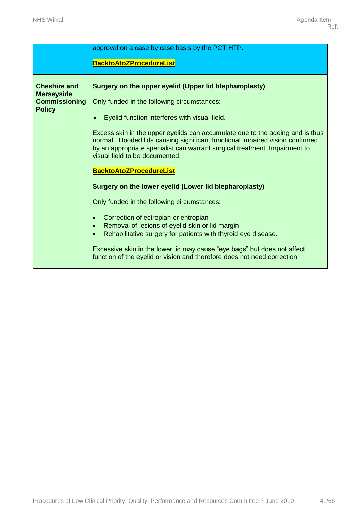<span id="page-40-0"></span>

|                                                                                   | approval on a case by case basis by the PCT HTP.                                                                                                                                                                                                                                                                                                                                                                                                                                                                                                                                                                                                                                                                                                                                                                                                                                                                    |
|-----------------------------------------------------------------------------------|---------------------------------------------------------------------------------------------------------------------------------------------------------------------------------------------------------------------------------------------------------------------------------------------------------------------------------------------------------------------------------------------------------------------------------------------------------------------------------------------------------------------------------------------------------------------------------------------------------------------------------------------------------------------------------------------------------------------------------------------------------------------------------------------------------------------------------------------------------------------------------------------------------------------|
|                                                                                   | <b>BacktoAtoZProcedureList</b>                                                                                                                                                                                                                                                                                                                                                                                                                                                                                                                                                                                                                                                                                                                                                                                                                                                                                      |
| <b>Cheshire and</b><br><b>Merseyside</b><br><b>Commissioning</b><br><b>Policy</b> | Surgery on the upper eyelid (Upper lid blepharoplasty)<br>Only funded in the following circumstances:<br>Eyelid function interferes with visual field.<br>Excess skin in the upper eyelids can accumulate due to the ageing and is thus<br>normal. Hooded lids causing significant functional impaired vision confirmed<br>by an appropriate specialist can warrant surgical treatment. Impairment to<br>visual field to be documented.<br><b>BacktoAtoZProcedureList</b><br>Surgery on the lower eyelid (Lower lid blepharoplasty)<br>Only funded in the following circumstances:<br>Correction of ectropian or entropian<br>$\bullet$<br>Removal of lesions of eyelid skin or lid margin<br>Rehabilitative surgery for patients with thyroid eye disease.<br>Excessive skin in the lower lid may cause "eye bags" but does not affect<br>function of the eyelid or vision and therefore does not need correction. |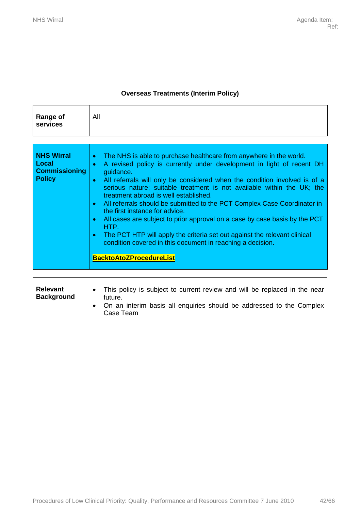# <span id="page-41-1"></span>**Overseas Treatments (Interim Policy)**

<span id="page-41-0"></span>

| Range of<br>services                                                | All                                                                                                                                                                                                                                                                                                                                                                                                                                                                                                                                                                                                                                                                                                                                                                                   |
|---------------------------------------------------------------------|---------------------------------------------------------------------------------------------------------------------------------------------------------------------------------------------------------------------------------------------------------------------------------------------------------------------------------------------------------------------------------------------------------------------------------------------------------------------------------------------------------------------------------------------------------------------------------------------------------------------------------------------------------------------------------------------------------------------------------------------------------------------------------------|
|                                                                     |                                                                                                                                                                                                                                                                                                                                                                                                                                                                                                                                                                                                                                                                                                                                                                                       |
| <b>NHS Wirral</b><br>Local<br><b>Commissioning</b><br><b>Policy</b> | The NHS is able to purchase healthcare from anywhere in the world.<br>$\bullet$<br>A revised policy is currently under development in light of recent DH<br>$\bullet$<br>guidance.<br>All referrals will only be considered when the condition involved is of a<br>$\bullet$<br>serious nature; suitable treatment is not available within the UK; the<br>treatment abroad is well established.<br>All referrals should be submitted to the PCT Complex Case Coordinator in<br>$\bullet$<br>the first instance for advice.<br>All cases are subject to prior approval on a case by case basis by the PCT<br>$\bullet$<br>HTP.<br>The PCT HTP will apply the criteria set out against the relevant clinical<br>$\bullet$<br>condition covered in this document in reaching a decision. |
|                                                                     | <b>BacktoAtoZProcedureList</b>                                                                                                                                                                                                                                                                                                                                                                                                                                                                                                                                                                                                                                                                                                                                                        |
|                                                                     |                                                                                                                                                                                                                                                                                                                                                                                                                                                                                                                                                                                                                                                                                                                                                                                       |
| <b>Relevant</b><br><b>Background</b>                                | This policy is subject to current review and will be replaced in the near<br>$\bullet$<br>future.<br>On an interim basis all enquiries should be addressed to the Complex<br>Case Team                                                                                                                                                                                                                                                                                                                                                                                                                                                                                                                                                                                                |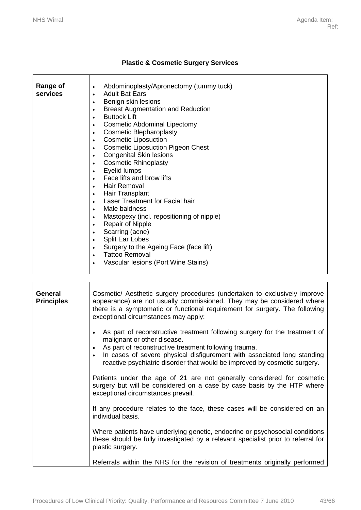|  | <b>Plastic &amp; Cosmetic Surgery Services</b> |  |  |  |  |
|--|------------------------------------------------|--|--|--|--|
|--|------------------------------------------------|--|--|--|--|

<span id="page-42-0"></span>

| <b>Range of</b><br>services | Abdominoplasty/Apronectomy (tummy tuck)<br>$\bullet$<br><b>Adult Bat Ears</b><br>$\bullet$ |
|-----------------------------|--------------------------------------------------------------------------------------------|
|                             | Benign skin lesions<br>$\bullet$                                                           |
|                             | <b>Breast Augmentation and Reduction</b><br>$\bullet$                                      |
|                             | <b>Buttock Lift</b><br>$\bullet$                                                           |
|                             | <b>Cosmetic Abdominal Lipectomy</b><br>$\bullet$                                           |
|                             | Cosmetic Blepharoplasty<br>$\bullet$                                                       |
|                             | <b>Cosmetic Liposuction</b><br>$\bullet$                                                   |
|                             | <b>Cosmetic Liposuction Pigeon Chest</b><br>$\bullet$                                      |
|                             | <b>Congenital Skin lesions</b><br>$\bullet$                                                |
|                             | <b>Cosmetic Rhinoplasty</b><br>$\bullet$                                                   |
|                             | Eyelid lumps<br>$\bullet$                                                                  |
|                             | Face lifts and brow lifts<br>$\bullet$                                                     |
|                             | Hair Removal<br>$\bullet$                                                                  |
|                             | Hair Transplant<br>$\bullet$<br>Laser Treatment for Facial hair                            |
|                             | $\bullet$<br>Male baldness<br>$\bullet$                                                    |
|                             | Mastopexy (incl. repositioning of nipple)<br>$\bullet$                                     |
|                             | <b>Repair of Nipple</b><br>$\bullet$                                                       |
|                             | Scarring (acne)<br>$\bullet$                                                               |
|                             | Split Ear Lobes<br>$\bullet$                                                               |
|                             | Surgery to the Ageing Face (face lift)<br>$\bullet$                                        |
|                             | Tattoo Removal<br>$\bullet$                                                                |
|                             | Vascular lesions (Port Wine Stains)                                                        |
|                             |                                                                                            |

<span id="page-42-1"></span>

| General<br><b>Principles</b> | Cosmetic/ Aesthetic surgery procedures (undertaken to exclusively improve<br>appearance) are not usually commissioned. They may be considered where<br>there is a symptomatic or functional requirement for surgery. The following<br>exceptional circumstances may apply:                                                                           |
|------------------------------|------------------------------------------------------------------------------------------------------------------------------------------------------------------------------------------------------------------------------------------------------------------------------------------------------------------------------------------------------|
|                              | As part of reconstructive treatment following surgery for the treatment of<br>$\bullet$<br>malignant or other disease.<br>As part of reconstructive treatment following trauma.<br>$\bullet$<br>In cases of severe physical disfigurement with associated long standing<br>reactive psychiatric disorder that would be improved by cosmetic surgery. |
|                              | Patients under the age of 21 are not generally considered for cosmetic<br>surgery but will be considered on a case by case basis by the HTP where<br>exceptional circumstances prevail.                                                                                                                                                              |
|                              | If any procedure relates to the face, these cases will be considered on an<br>individual basis.                                                                                                                                                                                                                                                      |
|                              | Where patients have underlying genetic, endocrine or psychosocial conditions<br>these should be fully investigated by a relevant specialist prior to referral for<br>plastic surgery.                                                                                                                                                                |
|                              | Referrals within the NHS for the revision of treatments originally performed                                                                                                                                                                                                                                                                         |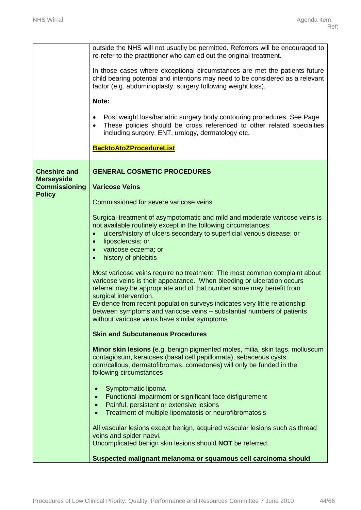<span id="page-43-1"></span><span id="page-43-0"></span>

|                                           | outside the NHS will not usually be permitted. Referrers will be encouraged to<br>re-refer to the practitioner who carried out the original treatment.                                                                                                                                      |
|-------------------------------------------|---------------------------------------------------------------------------------------------------------------------------------------------------------------------------------------------------------------------------------------------------------------------------------------------|
|                                           | In those cases where exceptional circumstances are met the patients future<br>child bearing potential and intentions may need to be considered as a relevant<br>factor (e.g. abdominoplasty, surgery following weight loss).                                                                |
|                                           | Note:                                                                                                                                                                                                                                                                                       |
|                                           | Post weight loss/bariatric surgery body contouring procedures. See Page<br>٠<br>These policies should be cross referenced to other related specialties<br>including surgery, ENT, urology, dermatology etc.                                                                                 |
|                                           | <b>BacktoAtoZProcedureList</b>                                                                                                                                                                                                                                                              |
| <b>Cheshire and</b>                       | <b>GENERAL COSMETIC PROCEDURES</b>                                                                                                                                                                                                                                                          |
| <b>Merseyside</b><br><b>Commissioning</b> | <b>Varicose Veins</b>                                                                                                                                                                                                                                                                       |
| <b>Policy</b>                             | Commissioned for severe varicose veins                                                                                                                                                                                                                                                      |
|                                           | Surgical treatment of asympotomatic and mild and moderate varicose veins is<br>not available routinely except in the following circumstances:<br>ulcers/history of ulcers secondary to superficial venous disease; or<br>liposclerosis; or<br>$\bullet$<br>varicose eczema; or<br>$\bullet$ |
|                                           | history of phlebitis<br>$\bullet$                                                                                                                                                                                                                                                           |
|                                           | Most varicose veins require no treatment. The most common complaint about<br>varicose veins is their appearance. When bleeding or ulceration occurs<br>referral may be appropriate and of that number some may benefit from<br>surgical intervention.                                       |
|                                           | Evidence from recent population surveys indicates very little relationship<br>between symptoms and varicose veins – substantial numbers of patients<br>without varicose veins have similar symptoms                                                                                         |
|                                           | <b>Skin and Subcutaneous Procedures</b>                                                                                                                                                                                                                                                     |
|                                           | Minor skin lesions (e.g. benign pigmented moles, milia, skin tags, molluscum<br>contagiosum, keratoses (basal cell papillomata), sebaceous cysts,<br>corn/callous, dermatofibromas, comedones) will only be funded in the<br>following circumstances:                                       |
|                                           | Symptomatic lipoma<br>Functional impairment or significant face disfigurement<br>$\bullet$                                                                                                                                                                                                  |
|                                           | Painful, persistent or extensive lesions<br>$\bullet$<br>Treatment of multiple lipomatosis or neurofibromatosis<br>$\bullet$                                                                                                                                                                |
|                                           | All vascular lesions except benign, acquired vascular lesions such as thread<br>veins and spider naevi.<br>Uncomplicated benign skin lesions should NOT be referred.                                                                                                                        |
|                                           | Suspected malignant melanoma or squamous cell carcinoma should                                                                                                                                                                                                                              |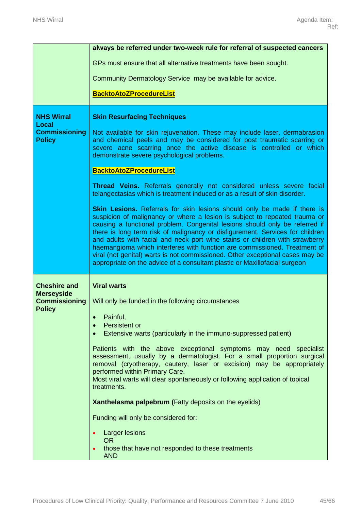<span id="page-44-0"></span>

|                                                                                   | always be referred under two-week rule for referral of suspected cancers                                                                                                                                                                                                                                                                                                                                                                                                                                                                                                                                                                                                                                                                     |
|-----------------------------------------------------------------------------------|----------------------------------------------------------------------------------------------------------------------------------------------------------------------------------------------------------------------------------------------------------------------------------------------------------------------------------------------------------------------------------------------------------------------------------------------------------------------------------------------------------------------------------------------------------------------------------------------------------------------------------------------------------------------------------------------------------------------------------------------|
|                                                                                   | GPs must ensure that all alternative treatments have been sought.                                                                                                                                                                                                                                                                                                                                                                                                                                                                                                                                                                                                                                                                            |
|                                                                                   | Community Dermatology Service may be available for advice.                                                                                                                                                                                                                                                                                                                                                                                                                                                                                                                                                                                                                                                                                   |
|                                                                                   | <b>BacktoAtoZProcedureList</b>                                                                                                                                                                                                                                                                                                                                                                                                                                                                                                                                                                                                                                                                                                               |
| <b>NHS Wirral</b><br>Local                                                        | <b>Skin Resurfacing Techniques</b>                                                                                                                                                                                                                                                                                                                                                                                                                                                                                                                                                                                                                                                                                                           |
| <b>Commissioning</b><br><b>Policy</b>                                             | Not available for skin rejuvenation. These may include laser, dermabrasion<br>and chemical peels and may be considered for post traumatic scarring or<br>severe acne scarring once the active disease is controlled or which<br>demonstrate severe psychological problems.                                                                                                                                                                                                                                                                                                                                                                                                                                                                   |
|                                                                                   | <b>BacktoAtoZProcedureList</b>                                                                                                                                                                                                                                                                                                                                                                                                                                                                                                                                                                                                                                                                                                               |
|                                                                                   | Thread Veins. Referrals generally not considered unless severe facial<br>telangectasias which is treatment induced or as a result of skin disorder.                                                                                                                                                                                                                                                                                                                                                                                                                                                                                                                                                                                          |
|                                                                                   | Skin Lesions. Referrals for skin lesions should only be made if there is<br>suspicion of malignancy or where a lesion is subject to repeated trauma or<br>causing a functional problem. Congenital lesions should only be referred if<br>there is long term risk of malignancy or disfigurement. Services for children<br>and adults with facial and neck port wine stains or children with strawberry<br>haemangioma which interferes with function are commissioned. Treatment of<br>viral (not genital) warts is not commissioned. Other exceptional cases may be<br>appropriate on the advice of a consultant plastic or Maxillofacial surgeon                                                                                           |
| <b>Cheshire and</b><br><b>Merseyside</b><br><b>Commissioning</b><br><b>Policy</b> | <b>Viral warts</b><br>Will only be funded in the following circumstances<br>Painful,<br>Persistent or<br>Extensive warts (particularly in the immuno-suppressed patient)<br>Patients with the above exceptional symptoms may need specialist<br>assessment, usually by a dermatologist. For a small proportion surgical<br>removal (cryotherapy, cautery, laser or excision) may be appropriately<br>performed within Primary Care.<br>Most viral warts will clear spontaneously or following application of topical<br>treatments.<br>Xanthelasma palpebrum (Fatty deposits on the eyelids)<br>Funding will only be considered for:<br><b>Larger lesions</b><br>$\bullet$<br><b>OR</b><br>those that have not responded to these treatments |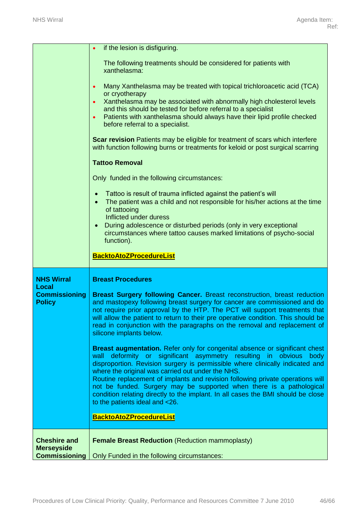<span id="page-45-1"></span><span id="page-45-0"></span>

|                                                                  | if the lesion is disfiguring.                                                                                                                                                                                                                                                                                                                                                                                                                                                                                                                                                    |
|------------------------------------------------------------------|----------------------------------------------------------------------------------------------------------------------------------------------------------------------------------------------------------------------------------------------------------------------------------------------------------------------------------------------------------------------------------------------------------------------------------------------------------------------------------------------------------------------------------------------------------------------------------|
|                                                                  | The following treatments should be considered for patients with<br>xanthelasma:                                                                                                                                                                                                                                                                                                                                                                                                                                                                                                  |
|                                                                  | Many Xanthelasma may be treated with topical trichloroacetic acid (TCA)<br>$\bullet$<br>or cryotherapy                                                                                                                                                                                                                                                                                                                                                                                                                                                                           |
|                                                                  | Xanthelasma may be associated with abnormally high cholesterol levels<br>$\bullet$<br>and this should be tested for before referral to a specialist<br>Patients with xanthelasma should always have their lipid profile checked<br>$\bullet$<br>before referral to a specialist.                                                                                                                                                                                                                                                                                                 |
|                                                                  | Scar revision Patients may be eligible for treatment of scars which interfere<br>with function following burns or treatments for keloid or post surgical scarring                                                                                                                                                                                                                                                                                                                                                                                                                |
|                                                                  | <b>Tattoo Removal</b>                                                                                                                                                                                                                                                                                                                                                                                                                                                                                                                                                            |
|                                                                  | Only funded in the following circumstances:                                                                                                                                                                                                                                                                                                                                                                                                                                                                                                                                      |
|                                                                  | Tattoo is result of trauma inflicted against the patient's will<br>The patient was a child and not responsible for his/her actions at the time<br>of tattooing<br>Inflicted under duress                                                                                                                                                                                                                                                                                                                                                                                         |
|                                                                  | During adolescence or disturbed periods (only in very exceptional<br>circumstances where tattoo causes marked limitations of psycho-social<br>function).                                                                                                                                                                                                                                                                                                                                                                                                                         |
|                                                                  |                                                                                                                                                                                                                                                                                                                                                                                                                                                                                                                                                                                  |
|                                                                  | <b>BacktoAtoZProcedureList</b>                                                                                                                                                                                                                                                                                                                                                                                                                                                                                                                                                   |
| <b>NHS Wirral</b>                                                | <b>Breast Procedures</b>                                                                                                                                                                                                                                                                                                                                                                                                                                                                                                                                                         |
| Local<br><b>Commissioning</b><br><b>Policy</b>                   | <b>Breast Surgery following Cancer.</b> Breast reconstruction, breast reduction<br>and mastopexy following breast surgery for cancer are commissioned and do<br>not require prior approval by the HTP. The PCT will support treatments that<br>will allow the patient to return to their pre operative condition. This should be<br>read in conjunction with the paragraphs on the removal and replacement of<br>silicone implants below.                                                                                                                                        |
|                                                                  | <b>Breast augmentation.</b> Refer only for congenital absence or significant chest<br>wall deformity or significant asymmetry resulting in obvious<br>body<br>disproportion. Revision surgery is permissible where clinically indicated and<br>where the original was carried out under the NHS.<br>Routine replacement of implants and revision following private operations will<br>not be funded. Surgery may be supported when there is a pathological<br>condition relating directly to the implant. In all cases the BMI should be close<br>to the patients ideal and <26. |
|                                                                  | <b>BacktoAtoZProcedureList</b>                                                                                                                                                                                                                                                                                                                                                                                                                                                                                                                                                   |
|                                                                  |                                                                                                                                                                                                                                                                                                                                                                                                                                                                                                                                                                                  |
| <b>Cheshire and</b><br><b>Merseyside</b><br><b>Commissioning</b> | <b>Female Breast Reduction (Reduction mammoplasty)</b><br>Only Funded in the following circumstances:                                                                                                                                                                                                                                                                                                                                                                                                                                                                            |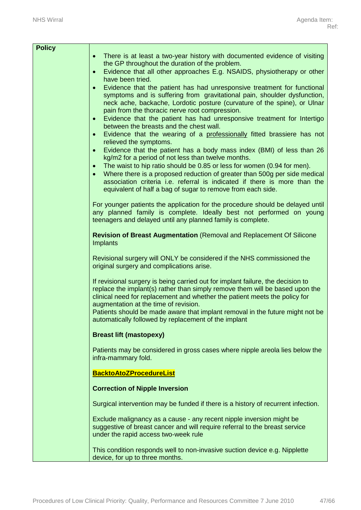<span id="page-46-1"></span><span id="page-46-0"></span>

| <b>Policy</b> |                                                                                                                                                                                                                                                                                                                                                                                                           |
|---------------|-----------------------------------------------------------------------------------------------------------------------------------------------------------------------------------------------------------------------------------------------------------------------------------------------------------------------------------------------------------------------------------------------------------|
|               | There is at least a two-year history with documented evidence of visiting<br>$\bullet$<br>the GP throughout the duration of the problem.                                                                                                                                                                                                                                                                  |
|               | Evidence that all other approaches E.g. NSAIDS, physiotherapy or other<br>$\bullet$                                                                                                                                                                                                                                                                                                                       |
|               | have been tried.<br>Evidence that the patient has had unresponsive treatment for functional<br>$\bullet$<br>symptoms and is suffering from gravitational pain, shoulder dysfunction,<br>neck ache, backache, Lordotic posture (curvature of the spine), or Ulnar<br>pain from the thoracic nerve root compression.<br>Evidence that the patient has had unresponsive treatment for Intertigo<br>$\bullet$ |
|               | between the breasts and the chest wall.                                                                                                                                                                                                                                                                                                                                                                   |
|               | Evidence that the wearing of a professionally fitted brassiere has not<br>$\bullet$<br>relieved the symptoms.                                                                                                                                                                                                                                                                                             |
|               | Evidence that the patient has a body mass index (BMI) of less than 26<br>$\bullet$<br>kg/m2 for a period of not less than twelve months.                                                                                                                                                                                                                                                                  |
|               | The waist to hip ratio should be 0.85 or less for women (0.94 for men).<br>$\bullet$<br>Where there is a proposed reduction of greater than 500g per side medical<br>association criteria i.e. referral is indicated if there is more than the<br>equivalent of half a bag of sugar to remove from each side.                                                                                             |
|               | For younger patients the application for the procedure should be delayed until<br>any planned family is complete. Ideally best not performed on young<br>teenagers and delayed until any planned family is complete.                                                                                                                                                                                      |
|               | <b>Revision of Breast Augmentation (Removal and Replacement Of Silicone</b><br><b>Implants</b>                                                                                                                                                                                                                                                                                                            |
|               | Revisional surgery will ONLY be considered if the NHS commissioned the<br>original surgery and complications arise.                                                                                                                                                                                                                                                                                       |
|               | If revisional surgery is being carried out for implant failure, the decision to<br>replace the implant(s) rather than simply remove them will be based upon the<br>clinical need for replacement and whether the patient meets the policy for<br>augmentation at the time of revision.<br>Patients should be made aware that implant removal in the future might not be                                   |
|               | automatically followed by replacement of the implant                                                                                                                                                                                                                                                                                                                                                      |
|               | <b>Breast lift (mastopexy)</b>                                                                                                                                                                                                                                                                                                                                                                            |
|               | Patients may be considered in gross cases where nipple areola lies below the<br>infra-mammary fold.                                                                                                                                                                                                                                                                                                       |
|               | <b>BacktoAtoZProcedureList</b>                                                                                                                                                                                                                                                                                                                                                                            |
|               | <b>Correction of Nipple Inversion</b>                                                                                                                                                                                                                                                                                                                                                                     |
|               | Surgical intervention may be funded if there is a history of recurrent infection.                                                                                                                                                                                                                                                                                                                         |
|               | Exclude malignancy as a cause - any recent nipple inversion might be<br>suggestive of breast cancer and will require referral to the breast service<br>under the rapid access two-week rule                                                                                                                                                                                                               |
|               | This condition responds well to non-invasive suction device e.g. Nipplette<br>device, for up to three months.                                                                                                                                                                                                                                                                                             |
|               |                                                                                                                                                                                                                                                                                                                                                                                                           |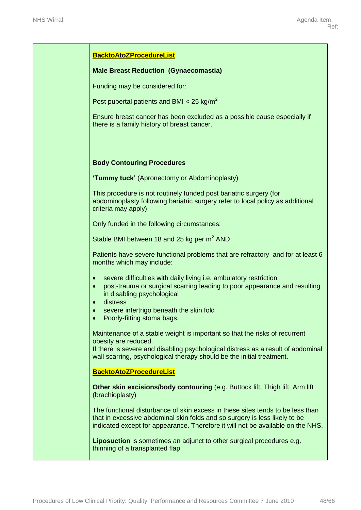<span id="page-47-2"></span><span id="page-47-1"></span><span id="page-47-0"></span>

| <b>BacktoAtoZProcedureList</b>                                                                                                                                                                                                                  |
|-------------------------------------------------------------------------------------------------------------------------------------------------------------------------------------------------------------------------------------------------|
| <b>Male Breast Reduction (Gynaecomastia)</b>                                                                                                                                                                                                    |
| Funding may be considered for:                                                                                                                                                                                                                  |
| Post pubertal patients and BMI $<$ 25 kg/m <sup>2</sup>                                                                                                                                                                                         |
| Ensure breast cancer has been excluded as a possible cause especially if<br>there is a family history of breast cancer.                                                                                                                         |
| <b>Body Contouring Procedures</b>                                                                                                                                                                                                               |
| 'Tummy tuck' (Apronectomy or Abdominoplasty)                                                                                                                                                                                                    |
| This procedure is not routinely funded post bariatric surgery (for<br>abdominoplasty following bariatric surgery refer to local policy as additional<br>criteria may apply)                                                                     |
| Only funded in the following circumstances:                                                                                                                                                                                                     |
| Stable BMI between 18 and 25 kg per $m^2$ AND                                                                                                                                                                                                   |
| Patients have severe functional problems that are refractory and for at least 6<br>months which may include:                                                                                                                                    |
| severe difficulties with daily living i.e. ambulatory restriction<br>$\bullet$<br>post-trauma or surgical scarring leading to poor appearance and resulting<br>in disabling psychological<br>distress<br>$\bullet$                              |
| severe intertrigo beneath the skin fold<br>$\bullet$<br>Poorly-fitting stoma bags.<br>$\bullet$                                                                                                                                                 |
| Maintenance of a stable weight is important so that the risks of recurrent<br>obesity are reduced.                                                                                                                                              |
| If there is severe and disabling psychological distress as a result of abdominal<br>wall scarring, psychological therapy should be the initial treatment.                                                                                       |
| <b>BacktoAtoZProcedureList</b>                                                                                                                                                                                                                  |
| Other skin excisions/body contouring (e.g. Buttock lift, Thigh lift, Arm lift<br>(brachioplasty)                                                                                                                                                |
| The functional disturbance of skin excess in these sites tends to be less than<br>that in excessive abdominal skin folds and so surgery is less likely to be<br>indicated except for appearance. Therefore it will not be available on the NHS. |
| Liposuction is sometimes an adjunct to other surgical procedures e.g.<br>thinning of a transplanted flap.                                                                                                                                       |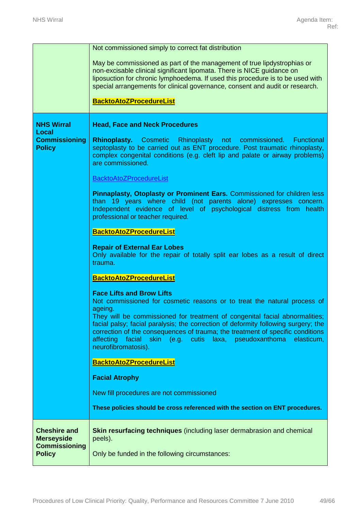<span id="page-48-3"></span><span id="page-48-2"></span><span id="page-48-1"></span><span id="page-48-0"></span>

|                                                                                   | Not commissioned simply to correct fat distribution                                                                                                                                                                                                                                                                                                                                                                                                                           |
|-----------------------------------------------------------------------------------|-------------------------------------------------------------------------------------------------------------------------------------------------------------------------------------------------------------------------------------------------------------------------------------------------------------------------------------------------------------------------------------------------------------------------------------------------------------------------------|
|                                                                                   | May be commissioned as part of the management of true lipdystrophias or<br>non-excisable clinical significant lipomata. There is NICE guidance on<br>liposuction for chronic lymphoedema. If used this procedure is to be used with<br>special arrangements for clinical governance, consent and audit or research.                                                                                                                                                           |
|                                                                                   | <b>BacktoAtoZProcedureList</b>                                                                                                                                                                                                                                                                                                                                                                                                                                                |
| <b>NHS Wirral</b><br>Local                                                        | <b>Head, Face and Neck Procedures</b>                                                                                                                                                                                                                                                                                                                                                                                                                                         |
| <b>Commissioning</b><br><b>Policy</b>                                             | <b>Rhinoplasty.</b> Cosmetic Rhinoplasty not commissioned.<br><b>Functional</b><br>septoplasty to be carried out as ENT procedure. Post traumatic rhinoplasty,<br>complex congenital conditions (e.g. cleft lip and palate or airway problems)<br>are commissioned.                                                                                                                                                                                                           |
|                                                                                   | <b>BacktoAtoZProcedureList</b>                                                                                                                                                                                                                                                                                                                                                                                                                                                |
|                                                                                   | Pinnaplasty, Otoplasty or Prominent Ears. Commissioned for children less<br>than 19 years where child (not parents alone) expresses concern.<br>Independent evidence of level of psychological distress from health<br>professional or teacher required.                                                                                                                                                                                                                      |
|                                                                                   | <b>BacktoAtoZProcedureList</b>                                                                                                                                                                                                                                                                                                                                                                                                                                                |
|                                                                                   | <b>Repair of External Ear Lobes</b><br>Only available for the repair of totally split ear lobes as a result of direct<br>trauma.                                                                                                                                                                                                                                                                                                                                              |
|                                                                                   | <b>BacktoAtoZProcedureList</b>                                                                                                                                                                                                                                                                                                                                                                                                                                                |
|                                                                                   | <b>Face Lifts and Brow Lifts</b><br>Not commissioned for cosmetic reasons or to treat the natural process of<br>ageing.<br>They will be commissioned for treatment of congenital facial abnormalities;<br>facial palsy; facial paralysis; the correction of deformity following surgery; the<br>correction of the consequences of trauma; the treatment of specific conditions<br>affecting facial skin (e.g. cutis laxa, pseudoxanthoma<br>elasticum,<br>neurofibromatosis). |
|                                                                                   | <b>BacktoAtoZProcedureList</b>                                                                                                                                                                                                                                                                                                                                                                                                                                                |
|                                                                                   | <b>Facial Atrophy</b>                                                                                                                                                                                                                                                                                                                                                                                                                                                         |
|                                                                                   | New fill procedures are not commissioned                                                                                                                                                                                                                                                                                                                                                                                                                                      |
|                                                                                   | These policies should be cross referenced with the section on ENT procedures.                                                                                                                                                                                                                                                                                                                                                                                                 |
| <b>Cheshire and</b><br><b>Merseyside</b><br><b>Commissioning</b><br><b>Policy</b> | Skin resurfacing techniques (including laser dermabrasion and chemical<br>peels).<br>Only be funded in the following circumstances:                                                                                                                                                                                                                                                                                                                                           |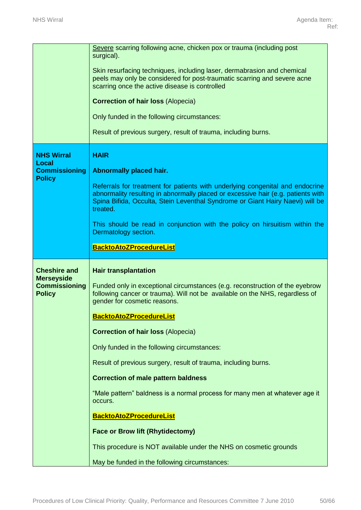<span id="page-49-2"></span><span id="page-49-1"></span><span id="page-49-0"></span>

|                                                            | Severe scarring following acne, chicken pox or trauma (including post<br>surgical).                                                                                                                                                                            |
|------------------------------------------------------------|----------------------------------------------------------------------------------------------------------------------------------------------------------------------------------------------------------------------------------------------------------------|
|                                                            | Skin resurfacing techniques, including laser, dermabrasion and chemical<br>peels may only be considered for post-traumatic scarring and severe acne<br>scarring once the active disease is controlled                                                          |
|                                                            | <b>Correction of hair loss (Alopecia)</b>                                                                                                                                                                                                                      |
|                                                            | Only funded in the following circumstances:                                                                                                                                                                                                                    |
|                                                            | Result of previous surgery, result of trauma, including burns.                                                                                                                                                                                                 |
| <b>NHS Wirral</b><br>Local                                 | <b>HAIR</b>                                                                                                                                                                                                                                                    |
| <b>Commissioning</b><br><b>Policy</b>                      | Abnormally placed hair.                                                                                                                                                                                                                                        |
|                                                            | Referrals for treatment for patients with underlying congenital and endocrine<br>abnormality resulting in abnormally placed or excessive hair (e.g. patients with<br>Spina Bifida, Occulta, Stein Leventhal Syndrome or Giant Hairy Naevi) will be<br>treated. |
|                                                            | This should be read in conjunction with the policy on hirsuitism within the<br>Dermatology section.                                                                                                                                                            |
|                                                            | <b>BacktoAtoZProcedureList</b>                                                                                                                                                                                                                                 |
|                                                            |                                                                                                                                                                                                                                                                |
| <b>Cheshire and</b>                                        | <b>Hair transplantation</b>                                                                                                                                                                                                                                    |
| <b>Merseyside</b><br><b>Commissioning</b><br><b>Policy</b> | Funded only in exceptional circumstances (e.g. reconstruction of the eyebrow<br>following cancer or trauma). Will not be available on the NHS, regardless of<br>gender for cosmetic reasons.                                                                   |
|                                                            | <b>BacktoAtoZProcedureList</b>                                                                                                                                                                                                                                 |
|                                                            | <b>Correction of hair loss (Alopecia)</b>                                                                                                                                                                                                                      |
|                                                            | Only funded in the following circumstances:                                                                                                                                                                                                                    |
|                                                            | Result of previous surgery, result of trauma, including burns.                                                                                                                                                                                                 |
|                                                            | <b>Correction of male pattern baldness</b>                                                                                                                                                                                                                     |
|                                                            | "Male pattern" baldness is a normal process for many men at whatever age it<br>occurs.                                                                                                                                                                         |
|                                                            | <b>BacktoAtoZProcedureList</b>                                                                                                                                                                                                                                 |
|                                                            | <b>Face or Brow lift (Rhytidectomy)</b>                                                                                                                                                                                                                        |
|                                                            | This procedure is NOT available under the NHS on cosmetic grounds                                                                                                                                                                                              |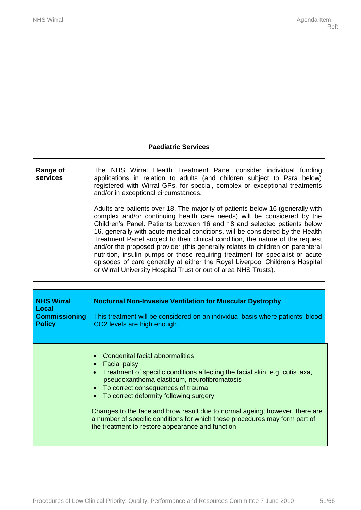## **Paediatric Services**

<span id="page-50-0"></span>

| Range of<br>services | The NHS Wirral Health Treatment Panel consider individual funding<br>applications in relation to adults (and children subject to Para below)<br>registered with Wirral GPs, for special, complex or exceptional treatments<br>and/or in exceptional circumstances.                                                                                                                                                                                                                                                                                                                                                                                                                                                            |
|----------------------|-------------------------------------------------------------------------------------------------------------------------------------------------------------------------------------------------------------------------------------------------------------------------------------------------------------------------------------------------------------------------------------------------------------------------------------------------------------------------------------------------------------------------------------------------------------------------------------------------------------------------------------------------------------------------------------------------------------------------------|
|                      | Adults are patients over 18. The majority of patients below 16 (generally with<br>complex and/or continuing health care needs) will be considered by the<br>Children's Panel. Patients between 16 and 18 and selected patients below<br>16, generally with acute medical conditions, will be considered by the Health<br>Treatment Panel subject to their clinical condition, the nature of the request<br>and/or the proposed provider (this generally relates to children on parenteral<br>nutrition, insulin pumps or those requiring treatment for specialist or acute<br>episodes of care generally at either the Royal Liverpool Children's Hospital<br>or Wirral University Hospital Trust or out of area NHS Trusts). |

| <b>NHS Wirral</b><br>Local<br><b>Commissioning</b><br><b>Policy</b> | <b>Nocturnal Non-Invasive Ventilation for Muscular Dystrophy</b><br>This treatment will be considered on an individual basis where patients' blood<br>CO <sub>2</sub> levels are high enough.                                                                                                                                                                                                                                                                                           |
|---------------------------------------------------------------------|-----------------------------------------------------------------------------------------------------------------------------------------------------------------------------------------------------------------------------------------------------------------------------------------------------------------------------------------------------------------------------------------------------------------------------------------------------------------------------------------|
|                                                                     | Congenital facial abnormalities<br><b>Facial palsy</b><br>Treatment of specific conditions affecting the facial skin, e.g. cutis laxa,<br>pseudoxanthoma elasticum, neurofibromatosis<br>To correct consequences of trauma<br>To correct deformity following surgery<br>Changes to the face and brow result due to normal ageing; however, there are<br>a number of specific conditions for which these procedures may form part of<br>the treatment to restore appearance and function |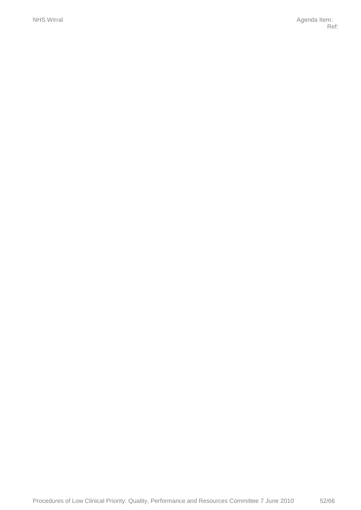NHS Wirral **Agenda Item:** Agenda Item: Agenda Item: Agenda Item: Agenda Item: Agenda Item: Agenda Item: Agenda Item: Agenda Item: Agenda Item: Agenda Item: Agenda Item: Agenda Item: Agenda Item: Agenda Item: Agenda Item: A Ref: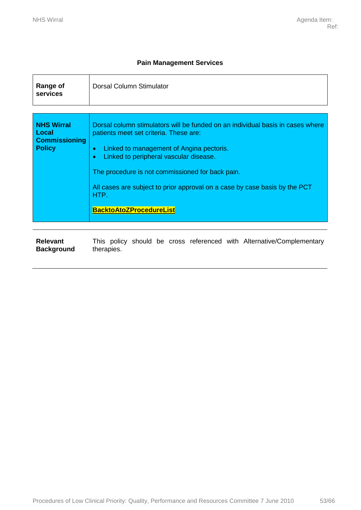## **Pain Management Services**

<span id="page-52-1"></span><span id="page-52-0"></span>

| <b>Range of</b><br>services                                                | Dorsal Column Stimulator                                                                                                                                                                                                                                                                                                                                                                                             |
|----------------------------------------------------------------------------|----------------------------------------------------------------------------------------------------------------------------------------------------------------------------------------------------------------------------------------------------------------------------------------------------------------------------------------------------------------------------------------------------------------------|
|                                                                            |                                                                                                                                                                                                                                                                                                                                                                                                                      |
| <b>NHS Wirral</b><br><b>Local</b><br><b>Commissioning</b><br><b>Policy</b> | Dorsal column stimulators will be funded on an individual basis in cases where<br>patients meet set criteria. These are:<br>Linked to management of Angina pectoris.<br>$\bullet$<br>Linked to peripheral vascular disease.<br>$\bullet$<br>The procedure is not commissioned for back pain.<br>All cases are subject to prior approval on a case by case basis by the PCT<br>HTP.<br><b>BacktoAtoZProcedureList</b> |
|                                                                            |                                                                                                                                                                                                                                                                                                                                                                                                                      |

**Relevant Background** This policy should be cross referenced with Alternative/Complementary therapies.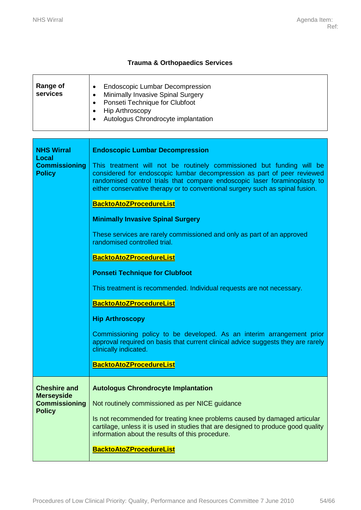# **Trauma & Orthopaedics Services**

<span id="page-53-0"></span>

| Range of<br>services | <b>Endoscopic Lumbar Decompression</b><br>Minimally Invasive Spinal Surgery<br>Ponseti Technique for Clubfoot<br><b>Hip Arthroscopy</b><br>Autologus Chrondrocyte implantation |
|----------------------|--------------------------------------------------------------------------------------------------------------------------------------------------------------------------------|
|                      |                                                                                                                                                                                |

<span id="page-53-5"></span><span id="page-53-4"></span><span id="page-53-3"></span><span id="page-53-2"></span><span id="page-53-1"></span>

| <b>NHS Wirral</b><br>Local                                       | <b>Endoscopic Lumbar Decompression</b>                                                                                                                                                                                                                                                                         |
|------------------------------------------------------------------|----------------------------------------------------------------------------------------------------------------------------------------------------------------------------------------------------------------------------------------------------------------------------------------------------------------|
| <b>Commissioning</b><br><b>Policy</b>                            | This treatment will not be routinely commissioned but funding will be<br>considered for endoscopic lumbar decompression as part of peer reviewed<br>randomised control trials that compare endoscopic laser foraminoplasty to<br>either conservative therapy or to conventional surgery such as spinal fusion. |
|                                                                  | <b>BacktoAtoZProcedureList</b>                                                                                                                                                                                                                                                                                 |
|                                                                  | <b>Minimally Invasive Spinal Surgery</b>                                                                                                                                                                                                                                                                       |
|                                                                  | These services are rarely commissioned and only as part of an approved<br>randomised controlled trial.                                                                                                                                                                                                         |
|                                                                  | <b>BacktoAtoZProcedureList</b>                                                                                                                                                                                                                                                                                 |
|                                                                  | <b>Ponseti Technique for Clubfoot</b>                                                                                                                                                                                                                                                                          |
|                                                                  | This treatment is recommended. Individual requests are not necessary.                                                                                                                                                                                                                                          |
|                                                                  | <b>BacktoAtoZProcedureList</b>                                                                                                                                                                                                                                                                                 |
|                                                                  | <b>Hip Arthroscopy</b>                                                                                                                                                                                                                                                                                         |
|                                                                  | Commissioning policy to be developed. As an interim arrangement prior<br>approval required on basis that current clinical advice suggests they are rarely<br>clinically indicated.                                                                                                                             |
|                                                                  | <b>BacktoAtoZProcedureList</b>                                                                                                                                                                                                                                                                                 |
| <b>Cheshire and</b><br><b>Merseyside</b><br><b>Commissioning</b> | <b>Autologus Chrondrocyte Implantation</b><br>Not routinely commissioned as per NICE guidance                                                                                                                                                                                                                  |
| <b>Policy</b>                                                    | Is not recommended for treating knee problems caused by damaged articular<br>cartilage, unless it is used in studies that are designed to produce good quality<br>information about the results of this procedure.                                                                                             |
|                                                                  | <b>BacktoAtoZProcedureList</b>                                                                                                                                                                                                                                                                                 |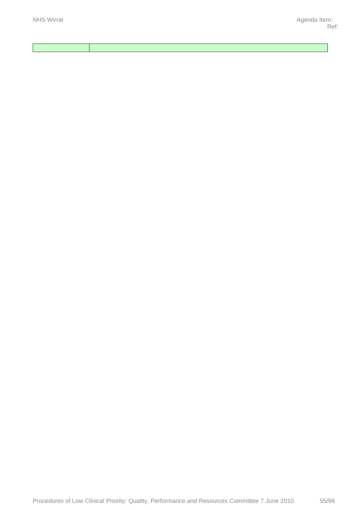| <b>NHS Wirral</b> |  |  |  |
|-------------------|--|--|--|
|                   |  |  |  |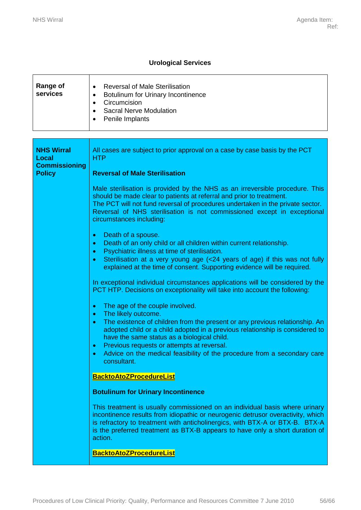# **Urological Services**

<span id="page-55-0"></span>

| <b>Range of</b><br>services | <b>Reversal of Male Sterilisation</b><br>Botulinum for Urinary Incontinence<br>Circumcision<br><b>Sacral Nerve Modulation</b><br>Penile Implants |
|-----------------------------|--------------------------------------------------------------------------------------------------------------------------------------------------|
|-----------------------------|--------------------------------------------------------------------------------------------------------------------------------------------------|

<span id="page-55-2"></span><span id="page-55-1"></span>

| <b>NHS Wirral</b><br>Local            | All cases are subject to prior approval on a case by case basis by the PCT<br><b>HTP</b>                                                                                                                                                                                                                                                      |  |  |  |
|---------------------------------------|-----------------------------------------------------------------------------------------------------------------------------------------------------------------------------------------------------------------------------------------------------------------------------------------------------------------------------------------------|--|--|--|
| <b>Commissioning</b><br><b>Policy</b> | <b>Reversal of Male Sterilisation</b>                                                                                                                                                                                                                                                                                                         |  |  |  |
|                                       | Male sterilisation is provided by the NHS as an irreversible procedure. This<br>should be made clear to patients at referral and prior to treatment.<br>The PCT will not fund reversal of procedures undertaken in the private sector.<br>Reversal of NHS sterilisation is not commissioned except in exceptional<br>circumstances including: |  |  |  |
|                                       | Death of a spouse.<br>$\bullet$<br>Death of an only child or all children within current relationship.<br>$\bullet$<br>Psychiatric illness at time of sterilisation.<br>$\bullet$<br>Sterilisation at a very young age (<24 years of age) if this was not fully<br>$\bullet$                                                                  |  |  |  |
|                                       | explained at the time of consent. Supporting evidence will be required.                                                                                                                                                                                                                                                                       |  |  |  |
|                                       | In exceptional individual circumstances applications will be considered by the<br>PCT HTP. Decisions on exceptionality will take into account the following:                                                                                                                                                                                  |  |  |  |
|                                       | The age of the couple involved.<br>$\bullet$<br>The likely outcome.<br>$\bullet$                                                                                                                                                                                                                                                              |  |  |  |
|                                       | The existence of children from the present or any previous relationship. An<br>$\bullet$<br>adopted child or a child adopted in a previous relationship is considered to<br>have the same status as a biological child.                                                                                                                       |  |  |  |
|                                       | Previous requests or attempts at reversal.<br>۰<br>Advice on the medical feasibility of the procedure from a secondary care<br>$\bullet$<br>consultant.                                                                                                                                                                                       |  |  |  |
|                                       | <b>BacktoAtoZProcedureList</b>                                                                                                                                                                                                                                                                                                                |  |  |  |
|                                       | <b>Botulinum for Urinary Incontinence</b>                                                                                                                                                                                                                                                                                                     |  |  |  |
|                                       | This treatment is usually commissioned on an individual basis where urinary<br>incontinence results from idiopathic or neurogenic detrusor overactivity, which<br>is refractory to treatment with anticholinergics, with BTX-A or BTX-B. BTX-A<br>is the preferred treatment as BTX-B appears to have only a short duration of<br>action.     |  |  |  |
|                                       | <b>BacktoAtoZProcedureList</b>                                                                                                                                                                                                                                                                                                                |  |  |  |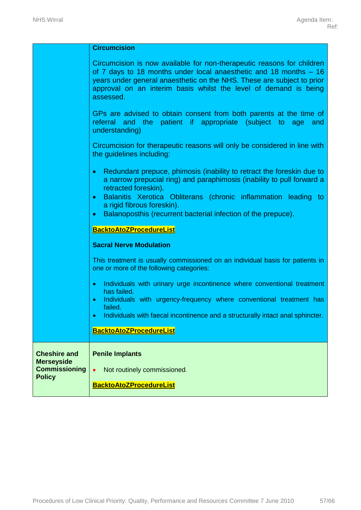<span id="page-56-2"></span><span id="page-56-1"></span><span id="page-56-0"></span>

|                                           | <b>Circumcision</b>                                                                                                                                                                                                                                                                                    |
|-------------------------------------------|--------------------------------------------------------------------------------------------------------------------------------------------------------------------------------------------------------------------------------------------------------------------------------------------------------|
|                                           | Circumcision is now available for non-therapeutic reasons for children<br>of 7 days to 18 months under local anaesthetic and 18 months - 16<br>years under general anaesthetic on the NHS. These are subject to prior<br>approval on an interim basis whilst the level of demand is being<br>assessed. |
|                                           | GPs are advised to obtain consent from both parents at the time of<br>referral and the patient if appropriate (subject to age<br>and<br>understanding)                                                                                                                                                 |
|                                           | Circumcision for therapeutic reasons will only be considered in line with<br>the guidelines including:                                                                                                                                                                                                 |
|                                           | Redundant prepuce, phimosis (inability to retract the foreskin due to<br>$\bullet$<br>a narrow prepucial ring) and paraphimosis (inability to pull forward a<br>retracted foreskin).                                                                                                                   |
|                                           | Balanitis Xerotica Obliterans (chronic inflammation leading to<br>$\bullet$<br>a rigid fibrous foreskin).<br>Balanoposthis (recurrent bacterial infection of the prepuce).                                                                                                                             |
|                                           | <b>BacktoAtoZProcedureList</b>                                                                                                                                                                                                                                                                         |
|                                           | <b>Sacral Nerve Modulation</b>                                                                                                                                                                                                                                                                         |
|                                           | This treatment is usually commissioned on an individual basis for patients in<br>one or more of the following categories:                                                                                                                                                                              |
|                                           | Individuals with urinary urge incontinence where conventional treatment<br>$\bullet$<br>has failed.                                                                                                                                                                                                    |
|                                           | Individuals with urgency-frequency where conventional treatment has<br>failed.                                                                                                                                                                                                                         |
|                                           | Individuals with faecal incontinence and a structurally intact anal sphincter.                                                                                                                                                                                                                         |
|                                           | <b>BacktoAtoZProcedureList</b>                                                                                                                                                                                                                                                                         |
| <b>Cheshire and</b>                       | <b>Penile Implants</b>                                                                                                                                                                                                                                                                                 |
| <b>Merseyside</b><br><b>Commissioning</b> | Not routinely commissioned.<br>$\bullet$                                                                                                                                                                                                                                                               |
| <b>Policy</b>                             | <b>BacktoAtoZProcedureList</b>                                                                                                                                                                                                                                                                         |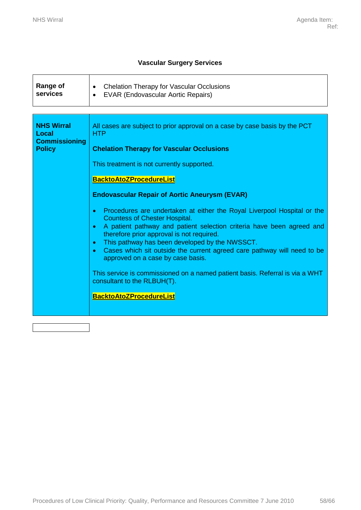# **Vascular Surgery Services**

<span id="page-57-0"></span>

| Range of | <b>Chelation Therapy for Vascular Occlusions</b> |
|----------|--------------------------------------------------|
| services | EVAR (Endovascular Aortic Repairs)               |
|          |                                                  |

<span id="page-57-2"></span><span id="page-57-1"></span>

| <b>Policy</b><br><b>Chelation Therapy for Vascular Occlusions</b><br>This treatment is not currently supported.<br><b>BacktoAtoZProcedureList</b><br><b>Endovascular Repair of Aortic Aneurysm (EVAR)</b><br>Procedures are undertaken at either the Royal Liverpool Hospital or the<br>$\bullet$<br><b>Countess of Chester Hospital.</b><br>A patient pathway and patient selection criteria have been agreed and<br>$\bullet$<br>therefore prior approval is not required.<br>This pathway has been developed by the NWSSCT.<br>$\bullet$<br>Cases which sit outside the current agreed care pathway will need to be<br>$\bullet$<br>approved on a case by case basis.<br>This service is commissioned on a named patient basis. Referral is via a WHT<br>consultant to the RLBUH(T).<br><b>BacktoAtoZProcedureList</b> | <b>NHS Wirral</b><br>Local | All cases are subject to prior approval on a case by case basis by the PCT<br>HTP |  |  |
|---------------------------------------------------------------------------------------------------------------------------------------------------------------------------------------------------------------------------------------------------------------------------------------------------------------------------------------------------------------------------------------------------------------------------------------------------------------------------------------------------------------------------------------------------------------------------------------------------------------------------------------------------------------------------------------------------------------------------------------------------------------------------------------------------------------------------|----------------------------|-----------------------------------------------------------------------------------|--|--|
|                                                                                                                                                                                                                                                                                                                                                                                                                                                                                                                                                                                                                                                                                                                                                                                                                           | <b>Commissioning</b>       |                                                                                   |  |  |
|                                                                                                                                                                                                                                                                                                                                                                                                                                                                                                                                                                                                                                                                                                                                                                                                                           |                            |                                                                                   |  |  |
|                                                                                                                                                                                                                                                                                                                                                                                                                                                                                                                                                                                                                                                                                                                                                                                                                           |                            |                                                                                   |  |  |
|                                                                                                                                                                                                                                                                                                                                                                                                                                                                                                                                                                                                                                                                                                                                                                                                                           |                            |                                                                                   |  |  |
|                                                                                                                                                                                                                                                                                                                                                                                                                                                                                                                                                                                                                                                                                                                                                                                                                           |                            |                                                                                   |  |  |
|                                                                                                                                                                                                                                                                                                                                                                                                                                                                                                                                                                                                                                                                                                                                                                                                                           |                            |                                                                                   |  |  |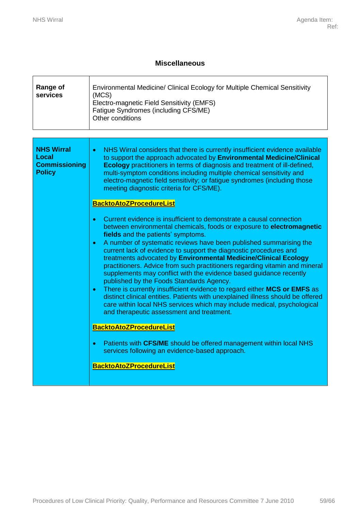# <span id="page-58-2"></span><span id="page-58-1"></span>**Miscellaneous**

<span id="page-58-0"></span>

| Range of | Environmental Medicine/ Clinical Ecology for Multiple Chemical Sensitivity |
|----------|----------------------------------------------------------------------------|
| services | (MCS)                                                                      |
|          | Electro-magnetic Field Sensitivity (EMFS)                                  |
|          | Fatigue Syndromes (including CFS/ME)                                       |
|          | Other conditions                                                           |
|          |                                                                            |

<span id="page-58-4"></span><span id="page-58-3"></span>

| <b>NHS Wirral</b><br>Local<br><b>Commissioning</b><br><b>Policy</b> | NHS Wirral considers that there is currently insufficient evidence available<br>$\bullet$<br>to support the approach advocated by Environmental Medicine/Clinical<br><b>Ecology</b> practitioners in terms of diagnosis and treatment of ill-defined,<br>multi-symptom conditions including multiple chemical sensitivity and<br>electro-magnetic field sensitivity; or fatigue syndromes (including those<br>meeting diagnostic criteria for CFS/ME).                                                                                                                                                                                                                                                                                                                                                                                                                                                                          |
|---------------------------------------------------------------------|---------------------------------------------------------------------------------------------------------------------------------------------------------------------------------------------------------------------------------------------------------------------------------------------------------------------------------------------------------------------------------------------------------------------------------------------------------------------------------------------------------------------------------------------------------------------------------------------------------------------------------------------------------------------------------------------------------------------------------------------------------------------------------------------------------------------------------------------------------------------------------------------------------------------------------|
|                                                                     | <b>BacktoAtoZProcedureList</b>                                                                                                                                                                                                                                                                                                                                                                                                                                                                                                                                                                                                                                                                                                                                                                                                                                                                                                  |
|                                                                     | Current evidence is insufficient to demonstrate a causal connection<br>$\bullet$<br>between environmental chemicals, foods or exposure to electromagnetic<br>fields and the patients' symptoms.<br>A number of systematic reviews have been published summarising the<br>$\bullet$<br>current lack of evidence to support the diagnostic procedures and<br>treatments advocated by Environmental Medicine/Clinical Ecology<br>practitioners. Advice from such practitioners regarding vitamin and mineral<br>supplements may conflict with the evidence based guidance recently<br>published by the Foods Standards Agency.<br>There is currently insufficient evidence to regard either MCS or EMFS as<br>$\bullet$<br>distinct clinical entities. Patients with unexplained illness should be offered<br>care within local NHS services which may include medical, psychological<br>and therapeutic assessment and treatment. |
|                                                                     | <b>BacktoAtoZProcedureList</b>                                                                                                                                                                                                                                                                                                                                                                                                                                                                                                                                                                                                                                                                                                                                                                                                                                                                                                  |
|                                                                     | Patients with CFS/ME should be offered management within local NHS<br>٠<br>services following an evidence-based approach.                                                                                                                                                                                                                                                                                                                                                                                                                                                                                                                                                                                                                                                                                                                                                                                                       |
|                                                                     | <b>BacktoAtoZProcedureList</b>                                                                                                                                                                                                                                                                                                                                                                                                                                                                                                                                                                                                                                                                                                                                                                                                                                                                                                  |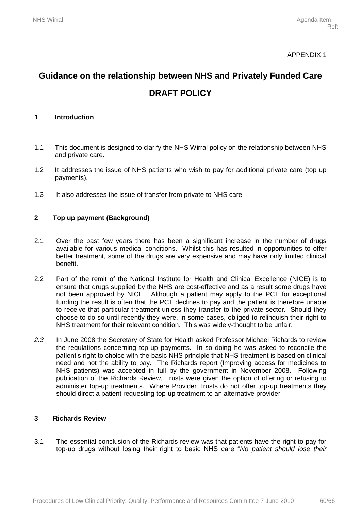APPENDIX 1

# **Guidance on the relationship between NHS and Privately Funded Care DRAFT POLICY**

## **1 Introduction**

- 1.1 This document is designed to clarify the NHS Wirral policy on the relationship between NHS and private care.
- 1.2 It addresses the issue of NHS patients who wish to pay for additional private care (top up payments).
- 1.3 It also addresses the issue of transfer from private to NHS care

## **2 Top up payment (Background)**

- 2.1 Over the past few years there has been a significant increase in the number of drugs available for various medical conditions. Whilst this has resulted in opportunities to offer better treatment, some of the drugs are very expensive and may have only limited clinical benefit.
- 2.2 Part of the remit of the National Institute for Health and Clinical Excellence (NICE) is to ensure that drugs supplied by the NHS are cost-effective and as a result some drugs have not been approved by NICE. Although a patient may apply to the PCT for exceptional funding the result is often that the PCT declines to pay and the patient is therefore unable to receive that particular treatment unless they transfer to the private sector. Should they choose to do so until recently they were, in some cases, obliged to relinquish their right to NHS treatment for their relevant condition. This was widely-thought to be unfair.
- *2.3* In June 2008 the Secretary of State for Health asked Professor Michael Richards to review the regulations concerning top-up payments. In so doing he was asked to reconcile the patient's right to choice with the basic NHS principle that NHS treatment is based on clinical need and not the ability to pay. The Richards report (Improving access for medicines to NHS patients) was accepted in full by the government in November 2008. Following publication of the Richards Review, Trusts were given the option of offering or refusing to administer top-up treatments. Where Provider Trusts do not offer top-up treatments they should direct a patient requesting top-up treatment to an alternative provider*.*

#### **3 Richards Review**

3.1 The essential conclusion of the Richards review was that patients have the right to pay for top-up drugs without losing their right to basic NHS care "*No patient should lose their*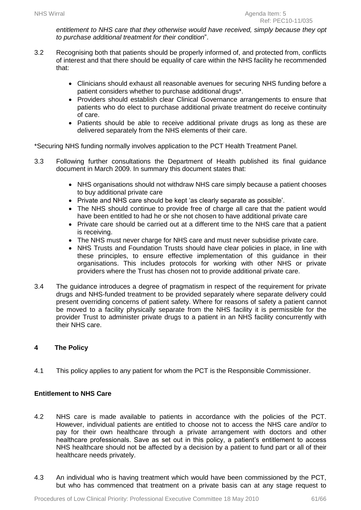*entitlement to NHS care that they otherwise would have received, simply because they opt to purchase additional treatment for their condition*".

- 3.2 Recognising both that patients should be properly informed of, and protected from, conflicts of interest and that there should be equality of care within the NHS facility he recommended that:
	- Clinicians should exhaust all reasonable avenues for securing NHS funding before a patient considers whether to purchase additional drugs\*.
	- Providers should establish clear Clinical Governance arrangements to ensure that patients who do elect to purchase additional private treatment do receive continuity of care.
	- Patients should be able to receive additional private drugs as long as these are delivered separately from the NHS elements of their care.

\*Securing NHS funding normally involves application to the PCT Health Treatment Panel.

- 3.3 Following further consultations the Department of Health published its final guidance document in March 2009. In summary this document states that:
	- NHS organisations should not withdraw NHS care simply because a patient chooses to buy additional private care
	- Private and NHS care should be kept 'as clearly separate as possible'.
	- The NHS should continue to provide free of charge all care that the patient would have been entitled to had he or she not chosen to have additional private care
	- Private care should be carried out at a different time to the NHS care that a patient is receiving.
	- The NHS must never charge for NHS care and must never subsidise private care.
	- NHS Trusts and Foundation Trusts should have clear policies in place, in line with these principles, to ensure effective implementation of this guidance in their organisations. This includes protocols for working with other NHS or private providers where the Trust has chosen not to provide additional private care.
- 3.4 The guidance introduces a degree of pragmatism in respect of the requirement for private drugs and NHS-funded treatment to be provided separately where separate delivery could present overriding concerns of patient safety. Where for reasons of safety a patient cannot be moved to a facility physically separate from the NHS facility it is permissible for the provider Trust to administer private drugs to a patient in an NHS facility concurrently with their NHS care.

## **4 The Policy**

4.1 This policy applies to any patient for whom the PCT is the Responsible Commissioner.

## **Entitlement to NHS Care**

- 4.2 NHS care is made available to patients in accordance with the policies of the PCT. However, individual patients are entitled to choose not to access the NHS care and/or to pay for their own healthcare through a private arrangement with doctors and other healthcare professionals. Save as set out in this policy, a patient's entitlement to access NHS healthcare should not be affected by a decision by a patient to fund part or all of their healthcare needs privately.
- 4.3 An individual who is having treatment which would have been commissioned by the PCT, but who has commenced that treatment on a private basis can at any stage request to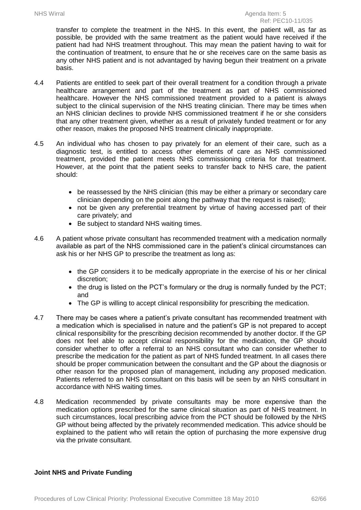transfer to complete the treatment in the NHS. In this event, the patient will, as far as possible, be provided with the same treatment as the patient would have received if the patient had had NHS treatment throughout. This may mean the patient having to wait for the continuation of treatment, to ensure that he or she receives care on the same basis as any other NHS patient and is not advantaged by having begun their treatment on a private basis.

- 4.4 Patients are entitled to seek part of their overall treatment for a condition through a private healthcare arrangement and part of the treatment as part of NHS commissioned healthcare. However the NHS commissioned treatment provided to a patient is always subject to the clinical supervision of the NHS treating clinician. There may be times when an NHS clinician declines to provide NHS commissioned treatment if he or she considers that any other treatment given, whether as a result of privately funded treatment or for any other reason, makes the proposed NHS treatment clinically inappropriate.
- 4.5 An individual who has chosen to pay privately for an element of their care, such as a diagnostic test, is entitled to access other elements of care as NHS commissioned treatment, provided the patient meets NHS commissioning criteria for that treatment. However, at the point that the patient seeks to transfer back to NHS care, the patient should:
	- be reassessed by the NHS clinician (this may be either a primary or secondary care clinician depending on the point along the pathway that the request is raised);
	- not be given any preferential treatment by virtue of having accessed part of their care privately; and
	- Be subject to standard NHS waiting times.
- 4.6 A patient whose private consultant has recommended treatment with a medication normally available as part of the NHS commissioned care in the patient's clinical circumstances can ask his or her NHS GP to prescribe the treatment as long as:
	- the GP considers it to be medically appropriate in the exercise of his or her clinical discretion;
	- $\bullet$  the drug is listed on the PCT's formulary or the drug is normally funded by the PCT; and
	- The GP is willing to accept clinical responsibility for prescribing the medication.
- 4.7 There may be cases where a patient's private consultant has recommended treatment with a medication which is specialised in nature and the patient's GP is not prepared to accept clinical responsibility for the prescribing decision recommended by another doctor. If the GP does not feel able to accept clinical responsibility for the medication, the GP should consider whether to offer a referral to an NHS consultant who can consider whether to prescribe the medication for the patient as part of NHS funded treatment. In all cases there should be proper communication between the consultant and the GP about the diagnosis or other reason for the proposed plan of management, including any proposed medication. Patients referred to an NHS consultant on this basis will be seen by an NHS consultant in accordance with NHS waiting times.
- 4.8 Medication recommended by private consultants may be more expensive than the medication options prescribed for the same clinical situation as part of NHS treatment. In such circumstances, local prescribing advice from the PCT should be followed by the NHS GP without being affected by the privately recommended medication. This advice should be explained to the patient who will retain the option of purchasing the more expensive drug via the private consultant.

#### **Joint NHS and Private Funding**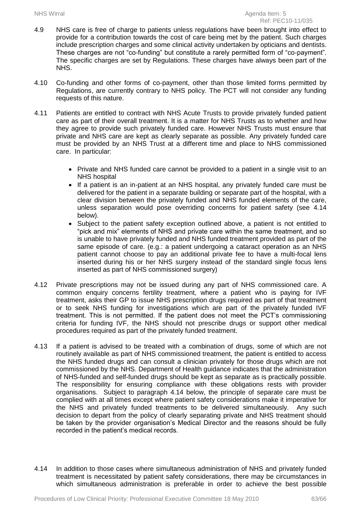- 4.9 NHS care is free of charge to patients unless regulations have been brought into effect to provide for a contribution towards the cost of care being met by the patient. Such charges include prescription charges and some clinical activity undertaken by opticians and dentists. These charges are not "co-funding" but constitute a rarely permitted form of "co-payment". The specific charges are set by Regulations. These charges have always been part of the NHS.
- 4.10 Co-funding and other forms of co-payment, other than those limited forms permitted by Regulations, are currently contrary to NHS policy. The PCT will not consider any funding requests of this nature.
- 4.11 Patients are entitled to contract with NHS Acute Trusts to provide privately funded patient care as part of their overall treatment. It is a matter for NHS Trusts as to whether and how they agree to provide such privately funded care. However NHS Trusts must ensure that private and NHS care are kept as clearly separate as possible. Any privately funded care must be provided by an NHS Trust at a different time and place to NHS commissioned care. In particular:
	- Private and NHS funded care cannot be provided to a patient in a single visit to an NHS hospital
	- If a patient is an in-patient at an NHS hospital, any privately funded care must be delivered for the patient in a separate building or separate part of the hospital, with a clear division between the privately funded and NHS funded elements of the care, unless separation would pose overriding concerns for patient safety (see 4.14 below).
	- Subject to the patient safety exception outlined above, a patient is not entitled to "pick and mix" elements of NHS and private care within the same treatment, and so is unable to have privately funded and NHS funded treatment provided as part of the same episode of care. (e.g.: a patient undergoing a cataract operation as an NHS patient cannot choose to pay an additional private fee to have a multi-focal lens inserted during his or her NHS surgery instead of the standard single focus lens inserted as part of NHS commissioned surgery)
- 4.12 Private prescriptions may not be issued during any part of NHS commissioned care. A common enquiry concerns fertility treatment, where a patient who is paying for IVF treatment, asks their GP to issue NHS prescription drugs required as part of that treatment or to seek NHS funding for investigations which are part of the privately funded IVF treatment. This is not permitted. If the patient does not meet the PCT's commissioning criteria for funding IVF, the NHS should not prescribe drugs or support other medical procedures required as part of the privately funded treatment.
- 4.13 If a patient is advised to be treated with a combination of drugs, some of which are not routinely available as part of NHS commissioned treatment, the patient is entitled to access the NHS funded drugs and can consult a clinician privately for those drugs which are not commissioned by the NHS. Department of Health guidance indicates that the administration of NHS-funded and self-funded drugs should be kept as separate as is practically possible. The responsibility for ensuring compliance with these obligations rests with provider organisations. Subject to paragraph 4.14 below, the principle of separate care must be complied with at all times except where patient safety considerations make it imperative for the NHS and privately funded treatments to be delivered simultaneously. Any such decision to depart from the policy of clearly separating private and NHS treatment should be taken by the provider organisation's Medical Director and the reasons should be fully recorded in the patient's medical records.
- 4.14 In addition to those cases where simultaneous administration of NHS and privately funded treatment is necessitated by patient safety considerations, there may be circumstances in which simultaneous administration is preferable in order to achieve the best possible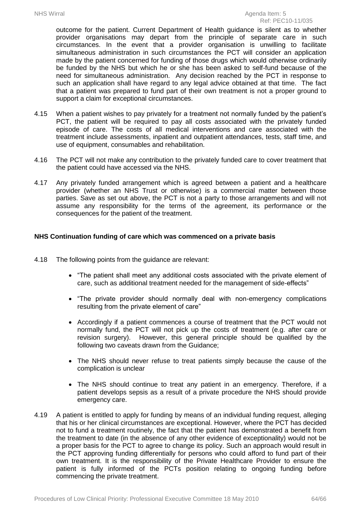outcome for the patient. Current Department of Health guidance is silent as to whether provider organisations may depart from the principle of separate care in such circumstances. In the event that a provider organisation is unwilling to facilitate simultaneous administration in such circumstances the PCT will consider an application made by the patient concerned for funding of those drugs which would otherwise ordinarily be funded by the NHS but which he or she has been asked to self-fund because of the need for simultaneous administration. Any decision reached by the PCT in response to such an application shall have regard to any legal advice obtained at that time. The fact that a patient was prepared to fund part of their own treatment is not a proper ground to support a claim for exceptional circumstances.

- 4.15 When a patient wishes to pay privately for a treatment not normally funded by the patient's PCT, the patient will be required to pay all costs associated with the privately funded episode of care. The costs of all medical interventions and care associated with the treatment include assessments, inpatient and outpatient attendances, tests, staff time, and use of equipment, consumables and rehabilitation.
- 4.16 The PCT will not make any contribution to the privately funded care to cover treatment that the patient could have accessed via the NHS.
- 4.17 Any privately funded arrangement which is agreed between a patient and a healthcare provider (whether an NHS Trust or otherwise) is a commercial matter between those parties. Save as set out above, the PCT is not a party to those arrangements and will not assume any responsibility for the terms of the agreement, its performance or the consequences for the patient of the treatment.

#### **NHS Continuation funding of care which was commenced on a private basis**

- 4.18 The following points from the guidance are relevant:
	- "The patient shall meet any additional costs associated with the private element of care, such as additional treatment needed for the management of side-effects"
	- "The private provider should normally deal with non-emergency complications resulting from the private element of care"
	- Accordingly if a patient commences a course of treatment that the PCT would not normally fund, the PCT will not pick up the costs of treatment (e.g. after care or revision surgery). However, this general principle should be qualified by the following two caveats drawn from the Guidance;
	- The NHS should never refuse to treat patients simply because the cause of the complication is unclear
	- The NHS should continue to treat any patient in an emergency. Therefore, if a patient develops sepsis as a result of a private procedure the NHS should provide emergency care.
- 4.19 A patient is entitled to apply for funding by means of an individual funding request, alleging that his or her clinical circumstances are exceptional. However, where the PCT has decided not to fund a treatment routinely, the fact that the patient has demonstrated a benefit from the treatment to date (in the absence of any other evidence of exceptionality) would not be a proper basis for the PCT to agree to change its policy. Such an approach would result in the PCT approving funding differentially for persons who could afford to fund part of their own treatment. It is the responsibility of the Private Healthcare Provider to ensure the patient is fully informed of the PCTs position relating to ongoing funding before commencing the private treatment.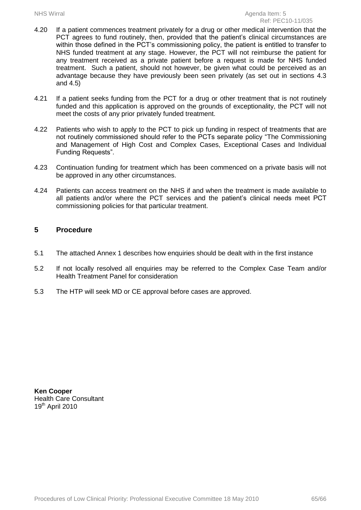- 4.20 If a patient commences treatment privately for a drug or other medical intervention that the PCT agrees to fund routinely, then, provided that the patient's clinical circumstances are within those defined in the PCT's commissioning policy, the patient is entitled to transfer to NHS funded treatment at any stage. However, the PCT will not reimburse the patient for any treatment received as a private patient before a request is made for NHS funded treatment. Such a patient, should not however, be given what could be perceived as an advantage because they have previously been seen privately (as set out in sections 4.3 and 4.5)
- 4.21 If a patient seeks funding from the PCT for a drug or other treatment that is not routinely funded and this application is approved on the grounds of exceptionality, the PCT will not meet the costs of any prior privately funded treatment.
- 4.22 Patients who wish to apply to the PCT to pick up funding in respect of treatments that are not routinely commissioned should refer to the PCTs separate policy "The Commissioning and Management of High Cost and Complex Cases, Exceptional Cases and Individual Funding Requests".
- 4.23 Continuation funding for treatment which has been commenced on a private basis will not be approved in any other circumstances.
- 4.24 Patients can access treatment on the NHS if and when the treatment is made available to all patients and/or where the PCT services and the patient's clinical needs meet PCT commissioning policies for that particular treatment.

## **5 Procedure**

- 5.1 The attached Annex 1 describes how enquiries should be dealt with in the first instance
- 5.2 If not locally resolved all enquiries may be referred to the Complex Case Team and/or Health Treatment Panel for consideration
- 5.3 The HTP will seek MD or CE approval before cases are approved.

**Ken Cooper** Health Care Consultant 19<sup>th</sup> April 2010